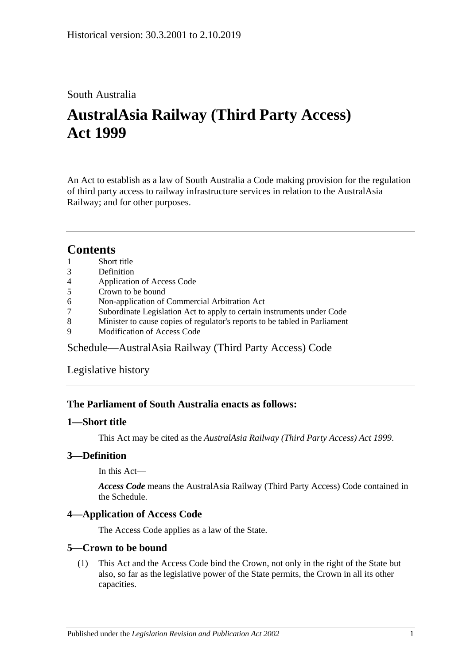# South Australia

# **AustralAsia Railway (Third Party Access) Act 1999**

An Act to establish as a law of South Australia a Code making provision for the regulation of third party access to railway infrastructure services in relation to the AustralAsia Railway; and for other purposes.

# **Contents**

- 1 [Short title](#page-0-0)
- 3 [Definition](#page-0-1)
- 4 [Application of Access Code](#page-0-2)
- 5 [Crown to be bound](#page-0-3)
- 6 [Non-application of Commercial Arbitration Act](#page-1-0)
- 7 [Subordinate Legislation Act to apply to certain instruments under Code](#page-1-1)
- 8 [Minister to cause copies of regulator's reports to be tabled in Parliament](#page-1-2)
- 9 [Modification of Access Code](#page-1-3)

[Schedule—AustralAsia Railway \(Third Party Access\) Code](#page-1-4)

[Legislative history](#page-55-0)

# **The Parliament of South Australia enacts as follows:**

## <span id="page-0-0"></span>**1—Short title**

This Act may be cited as the *AustralAsia Railway (Third Party Access) Act 1999*.

# <span id="page-0-1"></span>**3—Definition**

In this Act—

*Access Code* means the AustralAsia Railway (Third Party Access) Code contained in the Schedule.

## <span id="page-0-2"></span>**4—Application of Access Code**

The Access Code applies as a law of the State.

# <span id="page-0-3"></span>**5—Crown to be bound**

(1) This Act and the Access Code bind the Crown, not only in the right of the State but also, so far as the legislative power of the State permits, the Crown in all its other capacities.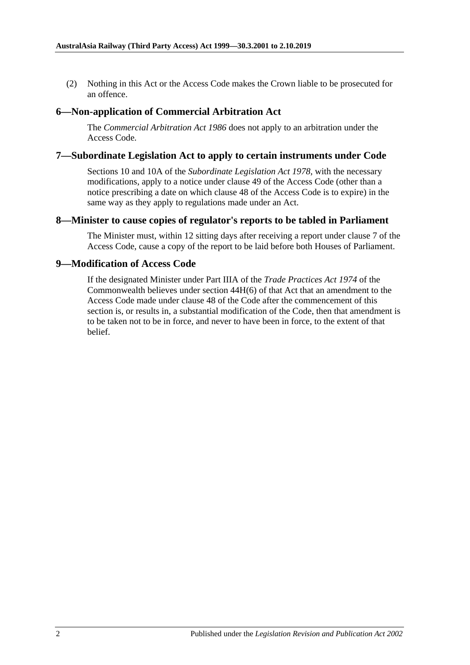(2) Nothing in this Act or the Access Code makes the Crown liable to be prosecuted for an offence.

## <span id="page-1-0"></span>**6—Non-application of Commercial Arbitration Act**

The *[Commercial Arbitration Act](http://www.legislation.sa.gov.au/index.aspx?action=legref&type=act&legtitle=Commercial%20Arbitration%20Act%201986) 1986* does not apply to an arbitration under the Access Code.

## <span id="page-1-1"></span>**7—Subordinate Legislation Act to apply to certain instruments under Code**

Sections 10 and 10A of the *[Subordinate Legislation Act](http://www.legislation.sa.gov.au/index.aspx?action=legref&type=act&legtitle=Subordinate%20Legislation%20Act%201978) 1978*, with the necessary modifications, apply to a notice under clause 49 of the Access Code (other than a notice prescribing a date on which clause 48 of the Access Code is to expire) in the same way as they apply to regulations made under an Act.

## <span id="page-1-2"></span>**8—Minister to cause copies of regulator's reports to be tabled in Parliament**

The Minister must, within 12 sitting days after receiving a report under clause 7 of the Access Code, cause a copy of the report to be laid before both Houses of Parliament.

## <span id="page-1-3"></span>**9—Modification of Access Code**

<span id="page-1-4"></span>If the designated Minister under Part IIIA of the *Trade Practices Act 1974* of the Commonwealth believes under section 44H(6) of that Act that an amendment to the Access Code made under clause 48 of the Code after the commencement of this section is, or results in, a substantial modification of the Code, then that amendment is to be taken not to be in force, and never to have been in force, to the extent of that belief.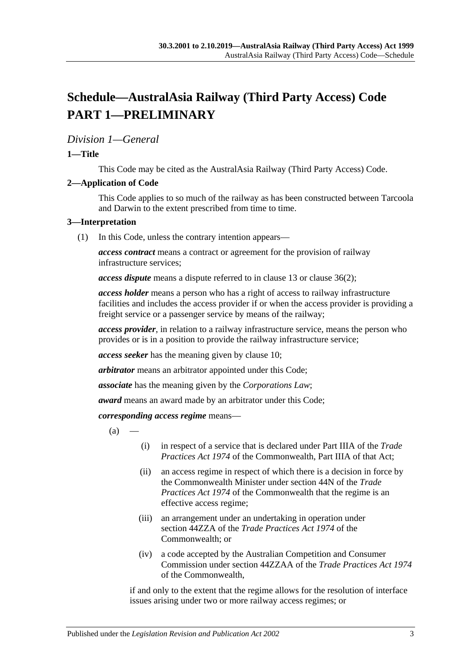# **Schedule—AustralAsia Railway (Third Party Access) Code PART 1—PRELIMINARY**

# *Division 1—General*

## **1—Title**

This Code may be cited as the AustralAsia Railway (Third Party Access) Code.

## **2—Application of Code**

This Code applies to so much of the railway as has been constructed between Tarcoola and Darwin to the extent prescribed from time to time.

#### **3—Interpretation**

(1) In this Code, unless the contrary intention appears—

*access contract* means a contract or agreement for the provision of railway infrastructure services;

*access dispute* means a dispute referred to in clause 13 or clause 36(2);

*access holder* means a person who has a right of access to railway infrastructure facilities and includes the access provider if or when the access provider is providing a freight service or a passenger service by means of the railway;

*access provider*, in relation to a railway infrastructure service, means the person who provides or is in a position to provide the railway infrastructure service;

*access seeker* has the meaning given by clause 10;

*arbitrator* means an arbitrator appointed under this Code;

*associate* has the meaning given by the *Corporations Law*;

*award* means an award made by an arbitrator under this Code;

*corresponding access regime* means—

 $(a)$ 

- (i) in respect of a service that is declared under Part IIIA of the *Trade Practices Act 1974* of the Commonwealth, Part IIIA of that Act;
- (ii) an access regime in respect of which there is a decision in force by the Commonwealth Minister under section 44N of the *Trade Practices Act 1974* of the Commonwealth that the regime is an effective access regime;
- (iii) an arrangement under an undertaking in operation under section 44ZZA of the *Trade Practices Act 1974* of the Commonwealth; or
- (iv) a code accepted by the Australian Competition and Consumer Commission under section 44ZZAA of the *Trade Practices Act 1974* of the Commonwealth,

if and only to the extent that the regime allows for the resolution of interface issues arising under two or more railway access regimes; or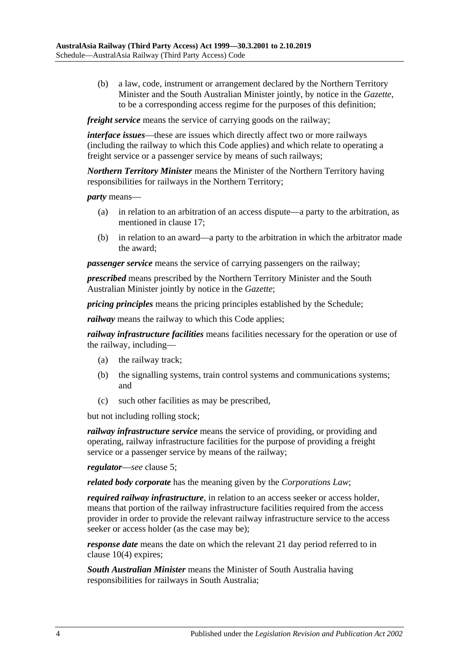(b) a law, code, instrument or arrangement declared by the Northern Territory Minister and the South Australian Minister jointly, by notice in the *Gazette*, to be a corresponding access regime for the purposes of this definition;

*freight service* means the service of carrying goods on the railway:

*interface issues*—these are issues which directly affect two or more railways (including the railway to which this Code applies) and which relate to operating a freight service or a passenger service by means of such railways;

*Northern Territory Minister* means the Minister of the Northern Territory having responsibilities for railways in the Northern Territory;

*party* means—

- (a) in relation to an arbitration of an access dispute—a party to the arbitration, as mentioned in clause 17;
- (b) in relation to an award—a party to the arbitration in which the arbitrator made the award;

*passenger service* means the service of carrying passengers on the railway;

*prescribed* means prescribed by the Northern Territory Minister and the South Australian Minister jointly by notice in the *Gazette*;

*pricing principles* means the pricing principles established by the Schedule;

*railway* means the railway to which this Code applies;

*railway infrastructure facilities* means facilities necessary for the operation or use of the railway, including—

- (a) the railway track;
- (b) the signalling systems, train control systems and communications systems; and
- (c) such other facilities as may be prescribed,

but not including rolling stock;

*railway infrastructure service* means the service of providing, or providing and operating, railway infrastructure facilities for the purpose of providing a freight service or a passenger service by means of the railway;

*regulator*—*see* clause 5;

*related body corporate* has the meaning given by the *Corporations Law*;

*required railway infrastructure*, in relation to an access seeker or access holder, means that portion of the railway infrastructure facilities required from the access provider in order to provide the relevant railway infrastructure service to the access seeker or access holder (as the case may be);

*response date* means the date on which the relevant 21 day period referred to in clause 10(4) expires;

*South Australian Minister* means the Minister of South Australia having responsibilities for railways in South Australia;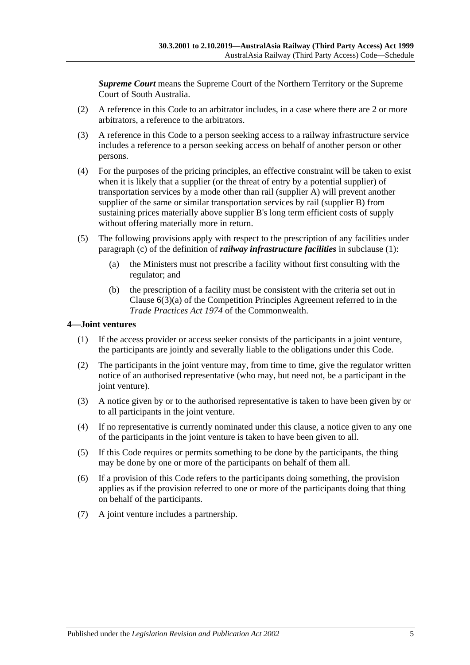*Supreme Court* means the Supreme Court of the Northern Territory or the Supreme Court of South Australia.

- (2) A reference in this Code to an arbitrator includes, in a case where there are 2 or more arbitrators, a reference to the arbitrators.
- (3) A reference in this Code to a person seeking access to a railway infrastructure service includes a reference to a person seeking access on behalf of another person or other persons.
- (4) For the purposes of the pricing principles, an effective constraint will be taken to exist when it is likely that a supplier (or the threat of entry by a potential supplier) of transportation services by a mode other than rail (supplier A) will prevent another supplier of the same or similar transportation services by rail (supplier B) from sustaining prices materially above supplier B's long term efficient costs of supply without offering materially more in return.
- (5) The following provisions apply with respect to the prescription of any facilities under paragraph (c) of the definition of *railway infrastructure facilities* in subclause (1):
	- (a) the Ministers must not prescribe a facility without first consulting with the regulator; and
	- (b) the prescription of a facility must be consistent with the criteria set out in Clause  $6(3)(a)$  of the Competition Principles Agreement referred to in the *Trade Practices Act 1974* of the Commonwealth.

#### **4—Joint ventures**

- (1) If the access provider or access seeker consists of the participants in a joint venture, the participants are jointly and severally liable to the obligations under this Code.
- (2) The participants in the joint venture may, from time to time, give the regulator written notice of an authorised representative (who may, but need not, be a participant in the joint venture).
- (3) A notice given by or to the authorised representative is taken to have been given by or to all participants in the joint venture.
- (4) If no representative is currently nominated under this clause, a notice given to any one of the participants in the joint venture is taken to have been given to all.
- (5) If this Code requires or permits something to be done by the participants, the thing may be done by one or more of the participants on behalf of them all.
- (6) If a provision of this Code refers to the participants doing something, the provision applies as if the provision referred to one or more of the participants doing that thing on behalf of the participants.
- (7) A joint venture includes a partnership.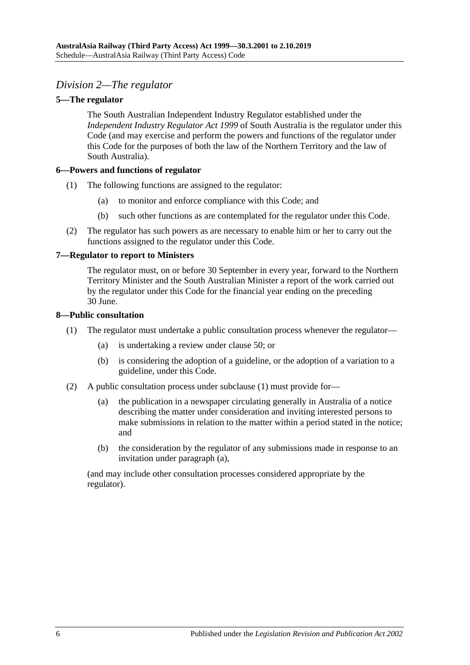# *Division 2—The regulator*

## **5—The regulator**

The South Australian Independent Industry Regulator established under the *[Independent Industry Regulator Act](http://www.legislation.sa.gov.au/index.aspx?action=legref&type=act&legtitle=Independent%20Industry%20Regulator%20Act%201999) 1999* of South Australia is the regulator under this Code (and may exercise and perform the powers and functions of the regulator under this Code for the purposes of both the law of the Northern Territory and the law of South Australia).

## **6—Powers and functions of regulator**

- (1) The following functions are assigned to the regulator:
	- (a) to monitor and enforce compliance with this Code; and
	- (b) such other functions as are contemplated for the regulator under this Code.
- (2) The regulator has such powers as are necessary to enable him or her to carry out the functions assigned to the regulator under this Code.

#### **7—Regulator to report to Ministers**

The regulator must, on or before 30 September in every year, forward to the Northern Territory Minister and the South Australian Minister a report of the work carried out by the regulator under this Code for the financial year ending on the preceding 30 June.

#### **8—Public consultation**

- (1) The regulator must undertake a public consultation process whenever the regulator—
	- (a) is undertaking a review under clause 50; or
	- (b) is considering the adoption of a guideline, or the adoption of a variation to a guideline, under this Code.
- (2) A public consultation process under subclause (1) must provide for—
	- (a) the publication in a newspaper circulating generally in Australia of a notice describing the matter under consideration and inviting interested persons to make submissions in relation to the matter within a period stated in the notice; and
	- (b) the consideration by the regulator of any submissions made in response to an invitation under paragraph (a),

(and may include other consultation processes considered appropriate by the regulator).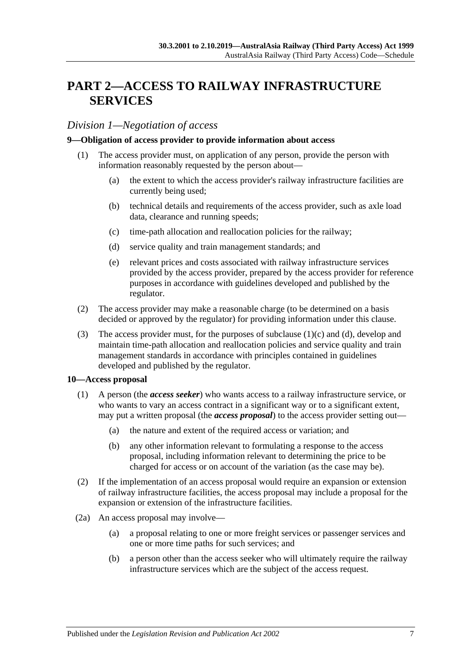# **PART 2—ACCESS TO RAILWAY INFRASTRUCTURE SERVICES**

## *Division 1—Negotiation of access*

#### **9—Obligation of access provider to provide information about access**

- (1) The access provider must, on application of any person, provide the person with information reasonably requested by the person about—
	- (a) the extent to which the access provider's railway infrastructure facilities are currently being used;
	- (b) technical details and requirements of the access provider, such as axle load data, clearance and running speeds;
	- (c) time-path allocation and reallocation policies for the railway;
	- (d) service quality and train management standards; and
	- (e) relevant prices and costs associated with railway infrastructure services provided by the access provider, prepared by the access provider for reference purposes in accordance with guidelines developed and published by the regulator.
- (2) The access provider may make a reasonable charge (to be determined on a basis decided or approved by the regulator) for providing information under this clause.
- (3) The access provider must, for the purposes of subclause  $(1)(c)$  and  $(d)$ , develop and maintain time-path allocation and reallocation policies and service quality and train management standards in accordance with principles contained in guidelines developed and published by the regulator.

#### **10—Access proposal**

- (1) A person (the *access seeker*) who wants access to a railway infrastructure service, or who wants to vary an access contract in a significant way or to a significant extent, may put a written proposal (the *access proposal*) to the access provider setting out—
	- (a) the nature and extent of the required access or variation; and
	- (b) any other information relevant to formulating a response to the access proposal, including information relevant to determining the price to be charged for access or on account of the variation (as the case may be).
- (2) If the implementation of an access proposal would require an expansion or extension of railway infrastructure facilities, the access proposal may include a proposal for the expansion or extension of the infrastructure facilities.
- (2a) An access proposal may involve—
	- (a) a proposal relating to one or more freight services or passenger services and one or more time paths for such services; and
	- (b) a person other than the access seeker who will ultimately require the railway infrastructure services which are the subject of the access request.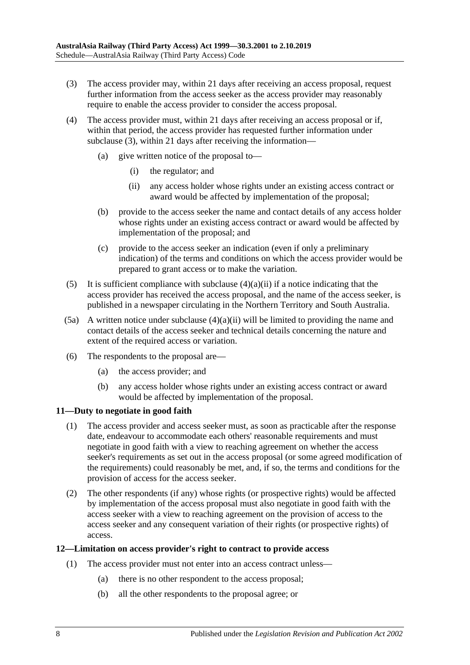- (3) The access provider may, within 21 days after receiving an access proposal, request further information from the access seeker as the access provider may reasonably require to enable the access provider to consider the access proposal.
- (4) The access provider must, within 21 days after receiving an access proposal or if, within that period, the access provider has requested further information under subclause (3), within 21 days after receiving the information—
	- (a) give written notice of the proposal to—
		- (i) the regulator; and
		- (ii) any access holder whose rights under an existing access contract or award would be affected by implementation of the proposal;
	- (b) provide to the access seeker the name and contact details of any access holder whose rights under an existing access contract or award would be affected by implementation of the proposal; and
	- (c) provide to the access seeker an indication (even if only a preliminary indication) of the terms and conditions on which the access provider would be prepared to grant access or to make the variation.
- (5) It is sufficient compliance with subclause  $(4)(a)(ii)$  if a notice indicating that the access provider has received the access proposal, and the name of the access seeker, is published in a newspaper circulating in the Northern Territory and South Australia.
- (5a) A written notice under subclause  $(4)(a)(ii)$  will be limited to providing the name and contact details of the access seeker and technical details concerning the nature and extent of the required access or variation.
- (6) The respondents to the proposal are—
	- (a) the access provider; and
	- (b) any access holder whose rights under an existing access contract or award would be affected by implementation of the proposal.

## **11—Duty to negotiate in good faith**

- (1) The access provider and access seeker must, as soon as practicable after the response date, endeavour to accommodate each others' reasonable requirements and must negotiate in good faith with a view to reaching agreement on whether the access seeker's requirements as set out in the access proposal (or some agreed modification of the requirements) could reasonably be met, and, if so, the terms and conditions for the provision of access for the access seeker.
- (2) The other respondents (if any) whose rights (or prospective rights) would be affected by implementation of the access proposal must also negotiate in good faith with the access seeker with a view to reaching agreement on the provision of access to the access seeker and any consequent variation of their rights (or prospective rights) of access.

## **12—Limitation on access provider's right to contract to provide access**

- (1) The access provider must not enter into an access contract unless—
	- (a) there is no other respondent to the access proposal;
	- (b) all the other respondents to the proposal agree; or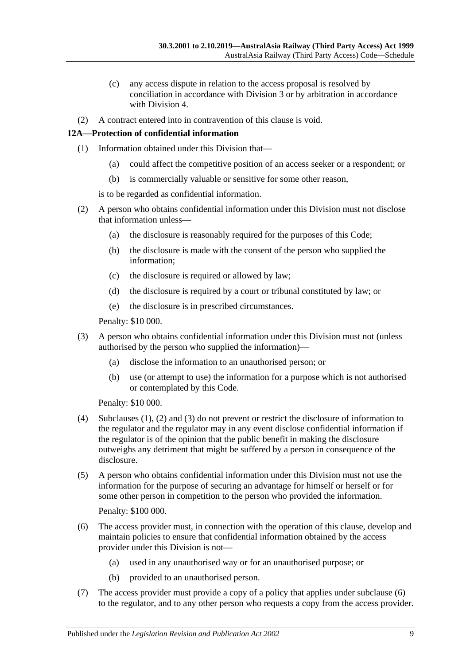- (c) any access dispute in relation to the access proposal is resolved by conciliation in accordance with Division 3 or by arbitration in accordance with Division 4.
- (2) A contract entered into in contravention of this clause is void.

## **12A—Protection of confidential information**

- (1) Information obtained under this Division that—
	- (a) could affect the competitive position of an access seeker or a respondent; or
	- (b) is commercially valuable or sensitive for some other reason,

is to be regarded as confidential information.

- (2) A person who obtains confidential information under this Division must not disclose that information unless—
	- (a) the disclosure is reasonably required for the purposes of this Code;
	- (b) the disclosure is made with the consent of the person who supplied the information;
	- (c) the disclosure is required or allowed by law;
	- (d) the disclosure is required by a court or tribunal constituted by law; or
	- (e) the disclosure is in prescribed circumstances.

Penalty: \$10 000.

- (3) A person who obtains confidential information under this Division must not (unless authorised by the person who supplied the information)—
	- (a) disclose the information to an unauthorised person; or
	- (b) use (or attempt to use) the information for a purpose which is not authorised or contemplated by this Code.

Penalty: \$10 000.

- (4) Subclauses (1), (2) and (3) do not prevent or restrict the disclosure of information to the regulator and the regulator may in any event disclose confidential information if the regulator is of the opinion that the public benefit in making the disclosure outweighs any detriment that might be suffered by a person in consequence of the disclosure.
- (5) A person who obtains confidential information under this Division must not use the information for the purpose of securing an advantage for himself or herself or for some other person in competition to the person who provided the information.

Penalty: \$100 000.

- (6) The access provider must, in connection with the operation of this clause, develop and maintain policies to ensure that confidential information obtained by the access provider under this Division is not—
	- (a) used in any unauthorised way or for an unauthorised purpose; or
	- (b) provided to an unauthorised person.
- (7) The access provider must provide a copy of a policy that applies under subclause (6) to the regulator, and to any other person who requests a copy from the access provider.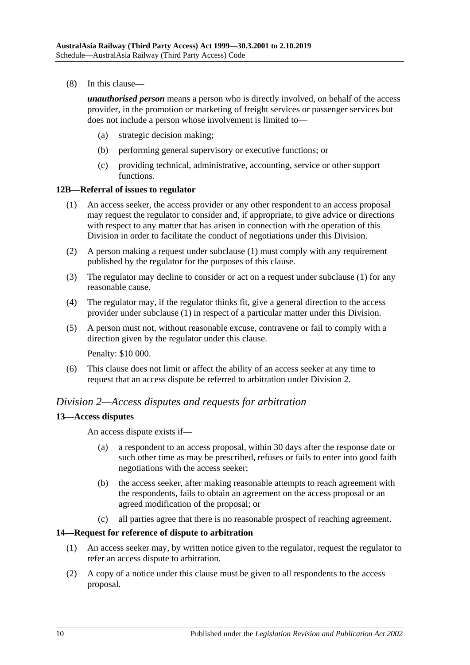(8) In this clause—

*unauthorised person* means a person who is directly involved, on behalf of the access provider, in the promotion or marketing of freight services or passenger services but does not include a person whose involvement is limited to—

- (a) strategic decision making;
- (b) performing general supervisory or executive functions; or
- (c) providing technical, administrative, accounting, service or other support functions.

#### **12B—Referral of issues to regulator**

- (1) An access seeker, the access provider or any other respondent to an access proposal may request the regulator to consider and, if appropriate, to give advice or directions with respect to any matter that has arisen in connection with the operation of this Division in order to facilitate the conduct of negotiations under this Division.
- (2) A person making a request under subclause (1) must comply with any requirement published by the regulator for the purposes of this clause.
- (3) The regulator may decline to consider or act on a request under subclause (1) for any reasonable cause.
- (4) The regulator may, if the regulator thinks fit, give a general direction to the access provider under subclause (1) in respect of a particular matter under this Division.
- (5) A person must not, without reasonable excuse, contravene or fail to comply with a direction given by the regulator under this clause.

Penalty: \$10 000.

(6) This clause does not limit or affect the ability of an access seeker at any time to request that an access dispute be referred to arbitration under Division 2.

## *Division 2—Access disputes and requests for arbitration*

## **13—Access disputes**

An access dispute exists if—

- (a) a respondent to an access proposal, within 30 days after the response date or such other time as may be prescribed, refuses or fails to enter into good faith negotiations with the access seeker;
- (b) the access seeker, after making reasonable attempts to reach agreement with the respondents, fails to obtain an agreement on the access proposal or an agreed modification of the proposal; or
- (c) all parties agree that there is no reasonable prospect of reaching agreement.

## **14—Request for reference of dispute to arbitration**

- (1) An access seeker may, by written notice given to the regulator, request the regulator to refer an access dispute to arbitration.
- (2) A copy of a notice under this clause must be given to all respondents to the access proposal.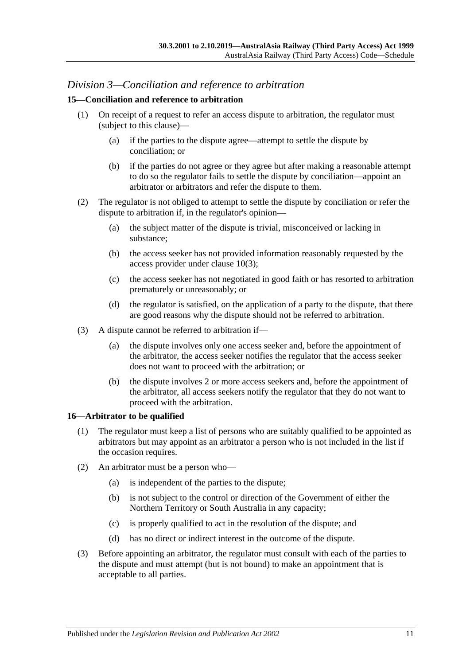# *Division 3—Conciliation and reference to arbitration*

## **15—Conciliation and reference to arbitration**

- (1) On receipt of a request to refer an access dispute to arbitration, the regulator must (subject to this clause)—
	- (a) if the parties to the dispute agree—attempt to settle the dispute by conciliation; or
	- (b) if the parties do not agree or they agree but after making a reasonable attempt to do so the regulator fails to settle the dispute by conciliation—appoint an arbitrator or arbitrators and refer the dispute to them.
- (2) The regulator is not obliged to attempt to settle the dispute by conciliation or refer the dispute to arbitration if, in the regulator's opinion—
	- (a) the subject matter of the dispute is trivial, misconceived or lacking in substance;
	- (b) the access seeker has not provided information reasonably requested by the access provider under clause 10(3);
	- (c) the access seeker has not negotiated in good faith or has resorted to arbitration prematurely or unreasonably; or
	- (d) the regulator is satisfied, on the application of a party to the dispute, that there are good reasons why the dispute should not be referred to arbitration.
- (3) A dispute cannot be referred to arbitration if—
	- (a) the dispute involves only one access seeker and, before the appointment of the arbitrator, the access seeker notifies the regulator that the access seeker does not want to proceed with the arbitration; or
	- (b) the dispute involves 2 or more access seekers and, before the appointment of the arbitrator, all access seekers notify the regulator that they do not want to proceed with the arbitration.

## **16—Arbitrator to be qualified**

- (1) The regulator must keep a list of persons who are suitably qualified to be appointed as arbitrators but may appoint as an arbitrator a person who is not included in the list if the occasion requires.
- (2) An arbitrator must be a person who—
	- (a) is independent of the parties to the dispute;
	- (b) is not subject to the control or direction of the Government of either the Northern Territory or South Australia in any capacity;
	- (c) is properly qualified to act in the resolution of the dispute; and
	- (d) has no direct or indirect interest in the outcome of the dispute.
- (3) Before appointing an arbitrator, the regulator must consult with each of the parties to the dispute and must attempt (but is not bound) to make an appointment that is acceptable to all parties.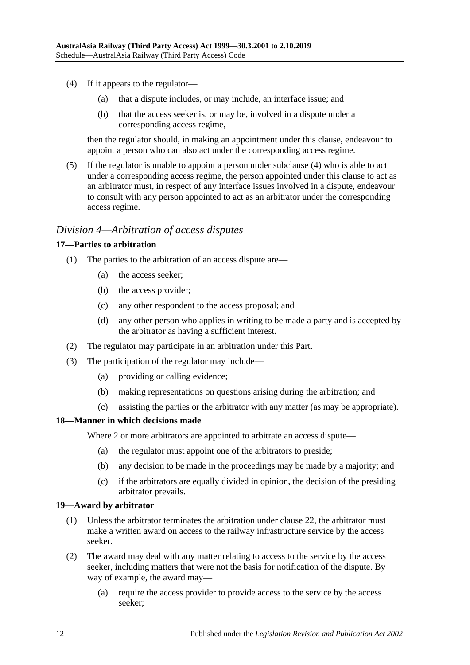- (4) If it appears to the regulator—
	- (a) that a dispute includes, or may include, an interface issue; and
	- (b) that the access seeker is, or may be, involved in a dispute under a corresponding access regime,

then the regulator should, in making an appointment under this clause, endeavour to appoint a person who can also act under the corresponding access regime.

(5) If the regulator is unable to appoint a person under subclause (4) who is able to act under a corresponding access regime, the person appointed under this clause to act as an arbitrator must, in respect of any interface issues involved in a dispute, endeavour to consult with any person appointed to act as an arbitrator under the corresponding access regime.

## *Division 4—Arbitration of access disputes*

#### **17—Parties to arbitration**

- (1) The parties to the arbitration of an access dispute are—
	- (a) the access seeker;
	- (b) the access provider;
	- (c) any other respondent to the access proposal; and
	- (d) any other person who applies in writing to be made a party and is accepted by the arbitrator as having a sufficient interest.
- (2) The regulator may participate in an arbitration under this Part.
- (3) The participation of the regulator may include—
	- (a) providing or calling evidence;
	- (b) making representations on questions arising during the arbitration; and
	- (c) assisting the parties or the arbitrator with any matter (as may be appropriate).

#### **18—Manner in which decisions made**

Where 2 or more arbitrators are appointed to arbitrate an access dispute—

- (a) the regulator must appoint one of the arbitrators to preside;
- (b) any decision to be made in the proceedings may be made by a majority; and
- (c) if the arbitrators are equally divided in opinion, the decision of the presiding arbitrator prevails.

#### **19—Award by arbitrator**

- (1) Unless the arbitrator terminates the arbitration under clause 22, the arbitrator must make a written award on access to the railway infrastructure service by the access seeker.
- (2) The award may deal with any matter relating to access to the service by the access seeker, including matters that were not the basis for notification of the dispute. By way of example, the award may—
	- (a) require the access provider to provide access to the service by the access seeker;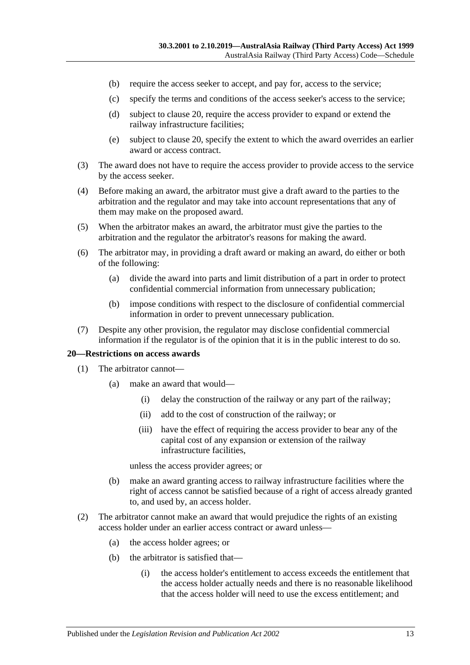- (b) require the access seeker to accept, and pay for, access to the service;
- (c) specify the terms and conditions of the access seeker's access to the service;
- (d) subject to clause 20, require the access provider to expand or extend the railway infrastructure facilities;
- (e) subject to clause 20, specify the extent to which the award overrides an earlier award or access contract.
- (3) The award does not have to require the access provider to provide access to the service by the access seeker.
- (4) Before making an award, the arbitrator must give a draft award to the parties to the arbitration and the regulator and may take into account representations that any of them may make on the proposed award.
- (5) When the arbitrator makes an award, the arbitrator must give the parties to the arbitration and the regulator the arbitrator's reasons for making the award.
- (6) The arbitrator may, in providing a draft award or making an award, do either or both of the following:
	- (a) divide the award into parts and limit distribution of a part in order to protect confidential commercial information from unnecessary publication;
	- (b) impose conditions with respect to the disclosure of confidential commercial information in order to prevent unnecessary publication.
- (7) Despite any other provision, the regulator may disclose confidential commercial information if the regulator is of the opinion that it is in the public interest to do so.

#### **20—Restrictions on access awards**

- (1) The arbitrator cannot—
	- (a) make an award that would—
		- (i) delay the construction of the railway or any part of the railway;
		- (ii) add to the cost of construction of the railway; or
		- (iii) have the effect of requiring the access provider to bear any of the capital cost of any expansion or extension of the railway infrastructure facilities,

unless the access provider agrees; or

- (b) make an award granting access to railway infrastructure facilities where the right of access cannot be satisfied because of a right of access already granted to, and used by, an access holder.
- (2) The arbitrator cannot make an award that would prejudice the rights of an existing access holder under an earlier access contract or award unless—
	- (a) the access holder agrees; or
	- (b) the arbitrator is satisfied that—
		- (i) the access holder's entitlement to access exceeds the entitlement that the access holder actually needs and there is no reasonable likelihood that the access holder will need to use the excess entitlement; and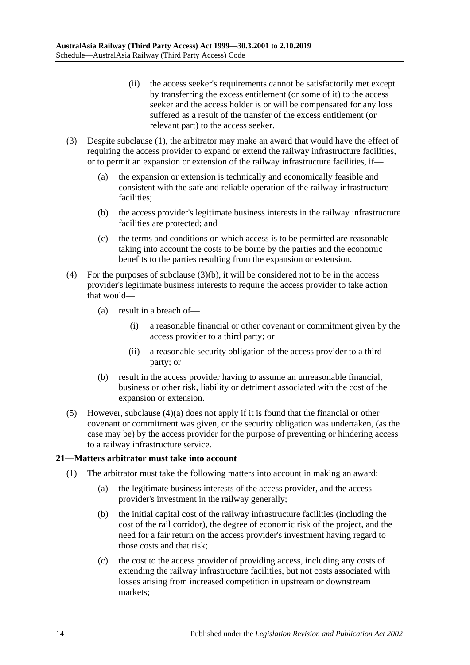- (ii) the access seeker's requirements cannot be satisfactorily met except by transferring the excess entitlement (or some of it) to the access seeker and the access holder is or will be compensated for any loss suffered as a result of the transfer of the excess entitlement (or relevant part) to the access seeker.
- (3) Despite subclause (1), the arbitrator may make an award that would have the effect of requiring the access provider to expand or extend the railway infrastructure facilities, or to permit an expansion or extension of the railway infrastructure facilities, if—
	- (a) the expansion or extension is technically and economically feasible and consistent with the safe and reliable operation of the railway infrastructure facilities;
	- (b) the access provider's legitimate business interests in the railway infrastructure facilities are protected; and
	- (c) the terms and conditions on which access is to be permitted are reasonable taking into account the costs to be borne by the parties and the economic benefits to the parties resulting from the expansion or extension.
- (4) For the purposes of subclause  $(3)(b)$ , it will be considered not to be in the access provider's legitimate business interests to require the access provider to take action that would—
	- (a) result in a breach of—
		- (i) a reasonable financial or other covenant or commitment given by the access provider to a third party; or
		- (ii) a reasonable security obligation of the access provider to a third party; or
	- (b) result in the access provider having to assume an unreasonable financial, business or other risk, liability or detriment associated with the cost of the expansion or extension.
- (5) However, subclause (4)(a) does not apply if it is found that the financial or other covenant or commitment was given, or the security obligation was undertaken, (as the case may be) by the access provider for the purpose of preventing or hindering access to a railway infrastructure service.

## **21—Matters arbitrator must take into account**

- (1) The arbitrator must take the following matters into account in making an award:
	- (a) the legitimate business interests of the access provider, and the access provider's investment in the railway generally;
	- (b) the initial capital cost of the railway infrastructure facilities (including the cost of the rail corridor), the degree of economic risk of the project, and the need for a fair return on the access provider's investment having regard to those costs and that risk;
	- (c) the cost to the access provider of providing access, including any costs of extending the railway infrastructure facilities, but not costs associated with losses arising from increased competition in upstream or downstream markets;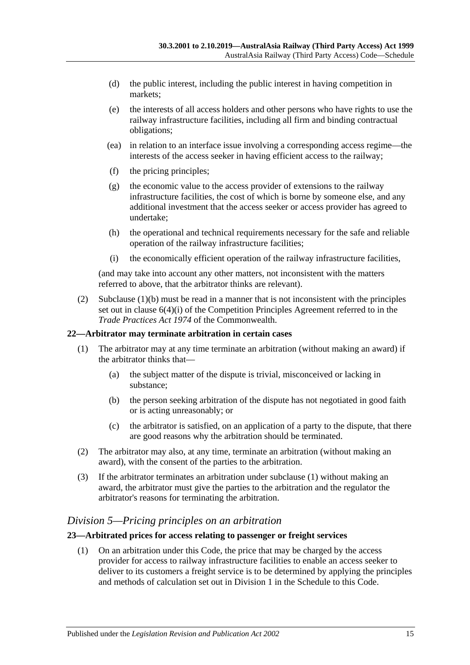- (d) the public interest, including the public interest in having competition in markets;
- (e) the interests of all access holders and other persons who have rights to use the railway infrastructure facilities, including all firm and binding contractual obligations;
- (ea) in relation to an interface issue involving a corresponding access regime—the interests of the access seeker in having efficient access to the railway;
- (f) the pricing principles;
- (g) the economic value to the access provider of extensions to the railway infrastructure facilities, the cost of which is borne by someone else, and any additional investment that the access seeker or access provider has agreed to undertake;
- (h) the operational and technical requirements necessary for the safe and reliable operation of the railway infrastructure facilities;
- (i) the economically efficient operation of the railway infrastructure facilities,

(and may take into account any other matters, not inconsistent with the matters referred to above, that the arbitrator thinks are relevant).

(2) Subclause (1)(b) must be read in a manner that is not inconsistent with the principles set out in clause 6(4)(i) of the Competition Principles Agreement referred to in the *Trade Practices Act 1974* of the Commonwealth.

## **22—Arbitrator may terminate arbitration in certain cases**

- (1) The arbitrator may at any time terminate an arbitration (without making an award) if the arbitrator thinks that—
	- (a) the subject matter of the dispute is trivial, misconceived or lacking in substance;
	- (b) the person seeking arbitration of the dispute has not negotiated in good faith or is acting unreasonably; or
	- (c) the arbitrator is satisfied, on an application of a party to the dispute, that there are good reasons why the arbitration should be terminated.
- (2) The arbitrator may also, at any time, terminate an arbitration (without making an award), with the consent of the parties to the arbitration.
- (3) If the arbitrator terminates an arbitration under subclause (1) without making an award, the arbitrator must give the parties to the arbitration and the regulator the arbitrator's reasons for terminating the arbitration.

# *Division 5—Pricing principles on an arbitration*

## **23—Arbitrated prices for access relating to passenger or freight services**

(1) On an arbitration under this Code, the price that may be charged by the access provider for access to railway infrastructure facilities to enable an access seeker to deliver to its customers a freight service is to be determined by applying the principles and methods of calculation set out in Division 1 in the Schedule to this Code.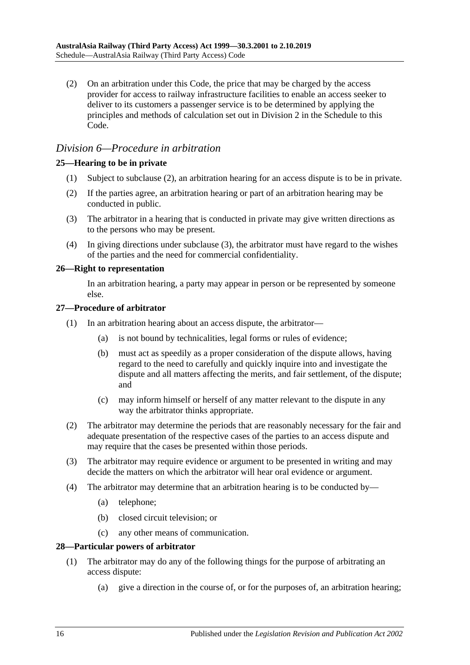(2) On an arbitration under this Code, the price that may be charged by the access provider for access to railway infrastructure facilities to enable an access seeker to deliver to its customers a passenger service is to be determined by applying the principles and methods of calculation set out in Division 2 in the Schedule to this Code.

# *Division 6—Procedure in arbitration*

## **25—Hearing to be in private**

- (1) Subject to subclause (2), an arbitration hearing for an access dispute is to be in private.
- (2) If the parties agree, an arbitration hearing or part of an arbitration hearing may be conducted in public.
- (3) The arbitrator in a hearing that is conducted in private may give written directions as to the persons who may be present.
- (4) In giving directions under subclause (3), the arbitrator must have regard to the wishes of the parties and the need for commercial confidentiality.

## **26—Right to representation**

In an arbitration hearing, a party may appear in person or be represented by someone else.

#### **27—Procedure of arbitrator**

- (1) In an arbitration hearing about an access dispute, the arbitrator—
	- (a) is not bound by technicalities, legal forms or rules of evidence;
	- (b) must act as speedily as a proper consideration of the dispute allows, having regard to the need to carefully and quickly inquire into and investigate the dispute and all matters affecting the merits, and fair settlement, of the dispute; and
	- (c) may inform himself or herself of any matter relevant to the dispute in any way the arbitrator thinks appropriate.
- (2) The arbitrator may determine the periods that are reasonably necessary for the fair and adequate presentation of the respective cases of the parties to an access dispute and may require that the cases be presented within those periods.
- (3) The arbitrator may require evidence or argument to be presented in writing and may decide the matters on which the arbitrator will hear oral evidence or argument.
- (4) The arbitrator may determine that an arbitration hearing is to be conducted by—
	- (a) telephone;
	- (b) closed circuit television; or
	- (c) any other means of communication.

## **28—Particular powers of arbitrator**

- (1) The arbitrator may do any of the following things for the purpose of arbitrating an access dispute:
	- (a) give a direction in the course of, or for the purposes of, an arbitration hearing;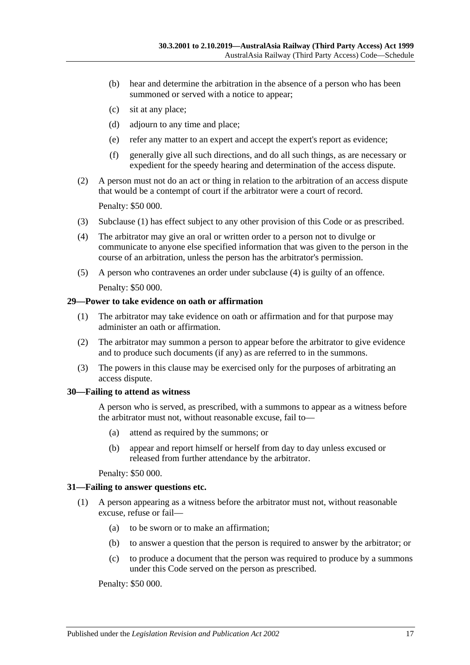- (b) hear and determine the arbitration in the absence of a person who has been summoned or served with a notice to appear;
- (c) sit at any place;
- (d) adjourn to any time and place;
- (e) refer any matter to an expert and accept the expert's report as evidence;
- (f) generally give all such directions, and do all such things, as are necessary or expedient for the speedy hearing and determination of the access dispute.
- (2) A person must not do an act or thing in relation to the arbitration of an access dispute that would be a contempt of court if the arbitrator were a court of record.

Penalty: \$50 000.

- (3) Subclause (1) has effect subject to any other provision of this Code or as prescribed.
- (4) The arbitrator may give an oral or written order to a person not to divulge or communicate to anyone else specified information that was given to the person in the course of an arbitration, unless the person has the arbitrator's permission.
- (5) A person who contravenes an order under subclause (4) is guilty of an offence.

Penalty: \$50 000.

#### **29—Power to take evidence on oath or affirmation**

- (1) The arbitrator may take evidence on oath or affirmation and for that purpose may administer an oath or affirmation.
- (2) The arbitrator may summon a person to appear before the arbitrator to give evidence and to produce such documents (if any) as are referred to in the summons.
- (3) The powers in this clause may be exercised only for the purposes of arbitrating an access dispute.

## **30—Failing to attend as witness**

A person who is served, as prescribed, with a summons to appear as a witness before the arbitrator must not, without reasonable excuse, fail to—

- (a) attend as required by the summons; or
- (b) appear and report himself or herself from day to day unless excused or released from further attendance by the arbitrator.

Penalty: \$50 000.

#### **31—Failing to answer questions etc.**

- (1) A person appearing as a witness before the arbitrator must not, without reasonable excuse, refuse or fail—
	- (a) to be sworn or to make an affirmation;
	- (b) to answer a question that the person is required to answer by the arbitrator; or
	- (c) to produce a document that the person was required to produce by a summons under this Code served on the person as prescribed.

Penalty: \$50 000.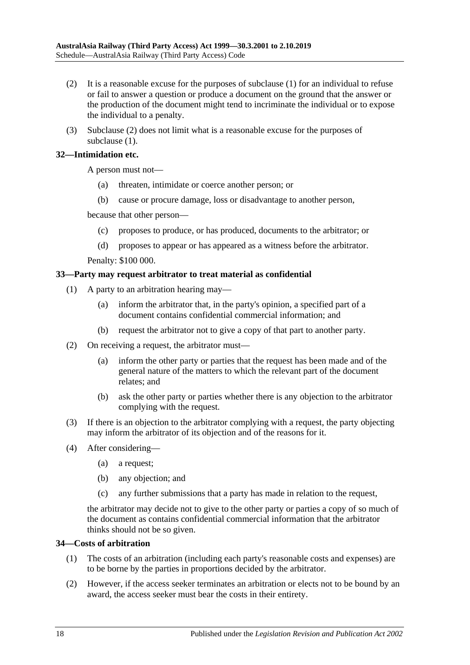- (2) It is a reasonable excuse for the purposes of subclause (1) for an individual to refuse or fail to answer a question or produce a document on the ground that the answer or the production of the document might tend to incriminate the individual or to expose the individual to a penalty.
- (3) Subclause (2) does not limit what is a reasonable excuse for the purposes of subclause  $(1)$ .

## **32—Intimidation etc.**

A person must not—

- (a) threaten, intimidate or coerce another person; or
- (b) cause or procure damage, loss or disadvantage to another person,

because that other person—

- (c) proposes to produce, or has produced, documents to the arbitrator; or
- (d) proposes to appear or has appeared as a witness before the arbitrator.

Penalty: \$100 000.

#### **33—Party may request arbitrator to treat material as confidential**

- (1) A party to an arbitration hearing may—
	- (a) inform the arbitrator that, in the party's opinion, a specified part of a document contains confidential commercial information; and
	- (b) request the arbitrator not to give a copy of that part to another party.
- (2) On receiving a request, the arbitrator must—
	- (a) inform the other party or parties that the request has been made and of the general nature of the matters to which the relevant part of the document relates; and
	- (b) ask the other party or parties whether there is any objection to the arbitrator complying with the request.
- (3) If there is an objection to the arbitrator complying with a request, the party objecting may inform the arbitrator of its objection and of the reasons for it.
- (4) After considering—
	- (a) a request;
	- (b) any objection; and
	- (c) any further submissions that a party has made in relation to the request,

the arbitrator may decide not to give to the other party or parties a copy of so much of the document as contains confidential commercial information that the arbitrator thinks should not be so given.

#### **34—Costs of arbitration**

- (1) The costs of an arbitration (including each party's reasonable costs and expenses) are to be borne by the parties in proportions decided by the arbitrator.
- (2) However, if the access seeker terminates an arbitration or elects not to be bound by an award, the access seeker must bear the costs in their entirety.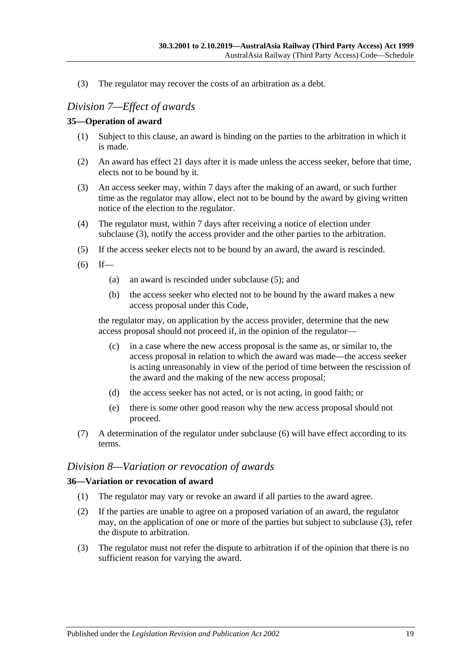(3) The regulator may recover the costs of an arbitration as a debt.

# *Division 7—Effect of awards*

## **35—Operation of award**

- (1) Subject to this clause, an award is binding on the parties to the arbitration in which it is made.
- (2) An award has effect 21 days after it is made unless the access seeker, before that time, elects not to be bound by it.
- (3) An access seeker may, within 7 days after the making of an award, or such further time as the regulator may allow, elect not to be bound by the award by giving written notice of the election to the regulator.
- (4) The regulator must, within 7 days after receiving a notice of election under subclause (3), notify the access provider and the other parties to the arbitration.
- (5) If the access seeker elects not to be bound by an award, the award is rescinded.
- $(6)$  If—
	- (a) an award is rescinded under subclause (5); and
	- (b) the access seeker who elected not to be bound by the award makes a new access proposal under this Code,

the regulator may, on application by the access provider, determine that the new access proposal should not proceed if, in the opinion of the regulator—

- (c) in a case where the new access proposal is the same as, or similar to, the access proposal in relation to which the award was made—the access seeker is acting unreasonably in view of the period of time between the rescission of the award and the making of the new access proposal;
- (d) the access seeker has not acted, or is not acting, in good faith; or
- (e) there is some other good reason why the new access proposal should not proceed.
- (7) A determination of the regulator under subclause (6) will have effect according to its terms.

## *Division 8—Variation or revocation of awards*

## **36—Variation or revocation of award**

- (1) The regulator may vary or revoke an award if all parties to the award agree.
- (2) If the parties are unable to agree on a proposed variation of an award, the regulator may, on the application of one or more of the parties but subject to subclause (3), refer the dispute to arbitration.
- (3) The regulator must not refer the dispute to arbitration if of the opinion that there is no sufficient reason for varying the award.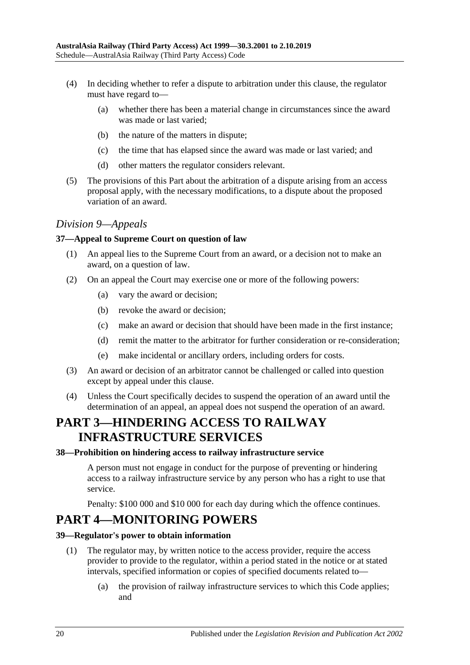- (4) In deciding whether to refer a dispute to arbitration under this clause, the regulator must have regard to—
	- (a) whether there has been a material change in circumstances since the award was made or last varied;
	- (b) the nature of the matters in dispute;
	- (c) the time that has elapsed since the award was made or last varied; and
	- (d) other matters the regulator considers relevant.
- (5) The provisions of this Part about the arbitration of a dispute arising from an access proposal apply, with the necessary modifications, to a dispute about the proposed variation of an award.

## *Division 9—Appeals*

## **37—Appeal to Supreme Court on question of law**

- (1) An appeal lies to the Supreme Court from an award, or a decision not to make an award, on a question of law.
- (2) On an appeal the Court may exercise one or more of the following powers:
	- (a) vary the award or decision;
	- (b) revoke the award or decision;
	- (c) make an award or decision that should have been made in the first instance;
	- (d) remit the matter to the arbitrator for further consideration or re-consideration;
	- (e) make incidental or ancillary orders, including orders for costs.
- (3) An award or decision of an arbitrator cannot be challenged or called into question except by appeal under this clause.
- (4) Unless the Court specifically decides to suspend the operation of an award until the determination of an appeal, an appeal does not suspend the operation of an award.

# **PART 3—HINDERING ACCESS TO RAILWAY INFRASTRUCTURE SERVICES**

#### **38—Prohibition on hindering access to railway infrastructure service**

A person must not engage in conduct for the purpose of preventing or hindering access to a railway infrastructure service by any person who has a right to use that service.

Penalty: \$100 000 and \$10 000 for each day during which the offence continues.

# **PART 4—MONITORING POWERS**

## **39—Regulator's power to obtain information**

- (1) The regulator may, by written notice to the access provider, require the access provider to provide to the regulator, within a period stated in the notice or at stated intervals, specified information or copies of specified documents related to—
	- (a) the provision of railway infrastructure services to which this Code applies; and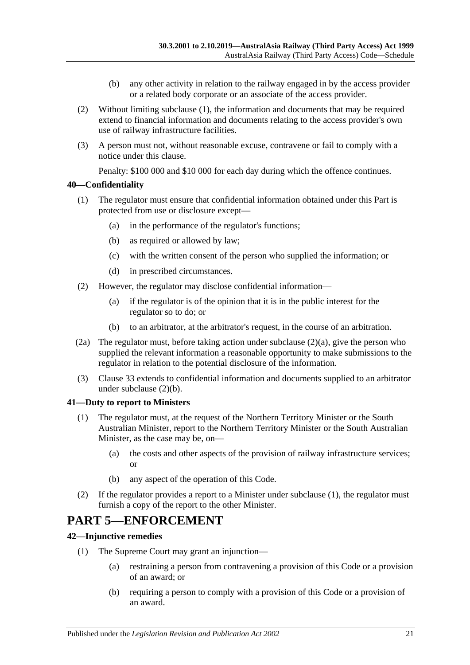- (b) any other activity in relation to the railway engaged in by the access provider or a related body corporate or an associate of the access provider.
- (2) Without limiting subclause (1), the information and documents that may be required extend to financial information and documents relating to the access provider's own use of railway infrastructure facilities.
- (3) A person must not, without reasonable excuse, contravene or fail to comply with a notice under this clause.

Penalty: \$100 000 and \$10 000 for each day during which the offence continues.

#### **40—Confidentiality**

- (1) The regulator must ensure that confidential information obtained under this Part is protected from use or disclosure except—
	- (a) in the performance of the regulator's functions;
	- (b) as required or allowed by law;
	- (c) with the written consent of the person who supplied the information; or
	- (d) in prescribed circumstances.
- (2) However, the regulator may disclose confidential information—
	- (a) if the regulator is of the opinion that it is in the public interest for the regulator so to do; or
	- (b) to an arbitrator, at the arbitrator's request, in the course of an arbitration.
- (2a) The regulator must, before taking action under subclause (2)(a), give the person who supplied the relevant information a reasonable opportunity to make submissions to the regulator in relation to the potential disclosure of the information.
- (3) Clause 33 extends to confidential information and documents supplied to an arbitrator under subclause (2)(b).

#### **41—Duty to report to Ministers**

- (1) The regulator must, at the request of the Northern Territory Minister or the South Australian Minister, report to the Northern Territory Minister or the South Australian Minister, as the case may be, on—
	- (a) the costs and other aspects of the provision of railway infrastructure services; or
	- (b) any aspect of the operation of this Code.
- (2) If the regulator provides a report to a Minister under subclause (1), the regulator must furnish a copy of the report to the other Minister.

# **PART 5—ENFORCEMENT**

#### **42—Injunctive remedies**

- (1) The Supreme Court may grant an injunction—
	- (a) restraining a person from contravening a provision of this Code or a provision of an award; or
	- (b) requiring a person to comply with a provision of this Code or a provision of an award.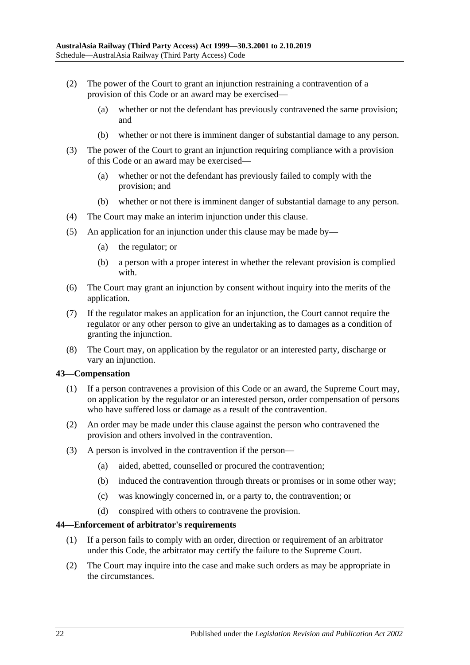- (2) The power of the Court to grant an injunction restraining a contravention of a provision of this Code or an award may be exercised—
	- (a) whether or not the defendant has previously contravened the same provision; and
	- (b) whether or not there is imminent danger of substantial damage to any person.
- (3) The power of the Court to grant an injunction requiring compliance with a provision of this Code or an award may be exercised—
	- (a) whether or not the defendant has previously failed to comply with the provision; and
	- (b) whether or not there is imminent danger of substantial damage to any person.
- (4) The Court may make an interim injunction under this clause.
- (5) An application for an injunction under this clause may be made by—
	- (a) the regulator; or
	- (b) a person with a proper interest in whether the relevant provision is complied with.
- (6) The Court may grant an injunction by consent without inquiry into the merits of the application.
- (7) If the regulator makes an application for an injunction, the Court cannot require the regulator or any other person to give an undertaking as to damages as a condition of granting the injunction.
- (8) The Court may, on application by the regulator or an interested party, discharge or vary an injunction.

## **43—Compensation**

- (1) If a person contravenes a provision of this Code or an award, the Supreme Court may, on application by the regulator or an interested person, order compensation of persons who have suffered loss or damage as a result of the contravention.
- (2) An order may be made under this clause against the person who contravened the provision and others involved in the contravention.
- (3) A person is involved in the contravention if the person—
	- (a) aided, abetted, counselled or procured the contravention;
	- (b) induced the contravention through threats or promises or in some other way;
	- (c) was knowingly concerned in, or a party to, the contravention; or
	- (d) conspired with others to contravene the provision.

#### **44—Enforcement of arbitrator's requirements**

- (1) If a person fails to comply with an order, direction or requirement of an arbitrator under this Code, the arbitrator may certify the failure to the Supreme Court.
- (2) The Court may inquire into the case and make such orders as may be appropriate in the circumstances.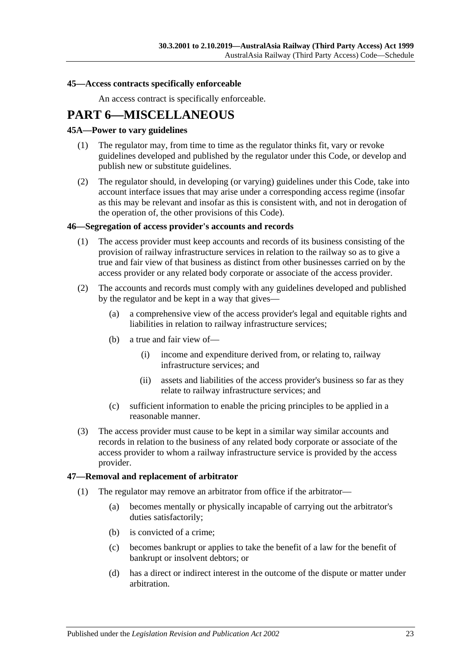#### **45—Access contracts specifically enforceable**

An access contract is specifically enforceable.

# **PART 6—MISCELLANEOUS**

#### **45A—Power to vary guidelines**

- (1) The regulator may, from time to time as the regulator thinks fit, vary or revoke guidelines developed and published by the regulator under this Code, or develop and publish new or substitute guidelines.
- (2) The regulator should, in developing (or varying) guidelines under this Code, take into account interface issues that may arise under a corresponding access regime (insofar as this may be relevant and insofar as this is consistent with, and not in derogation of the operation of, the other provisions of this Code).

#### **46—Segregation of access provider's accounts and records**

- (1) The access provider must keep accounts and records of its business consisting of the provision of railway infrastructure services in relation to the railway so as to give a true and fair view of that business as distinct from other businesses carried on by the access provider or any related body corporate or associate of the access provider.
- (2) The accounts and records must comply with any guidelines developed and published by the regulator and be kept in a way that gives—
	- (a) a comprehensive view of the access provider's legal and equitable rights and liabilities in relation to railway infrastructure services;
	- (b) a true and fair view of—
		- (i) income and expenditure derived from, or relating to, railway infrastructure services; and
		- (ii) assets and liabilities of the access provider's business so far as they relate to railway infrastructure services; and
	- (c) sufficient information to enable the pricing principles to be applied in a reasonable manner.
- (3) The access provider must cause to be kept in a similar way similar accounts and records in relation to the business of any related body corporate or associate of the access provider to whom a railway infrastructure service is provided by the access provider.

#### **47—Removal and replacement of arbitrator**

- (1) The regulator may remove an arbitrator from office if the arbitrator—
	- (a) becomes mentally or physically incapable of carrying out the arbitrator's duties satisfactorily;
	- (b) is convicted of a crime;
	- (c) becomes bankrupt or applies to take the benefit of a law for the benefit of bankrupt or insolvent debtors; or
	- (d) has a direct or indirect interest in the outcome of the dispute or matter under arbitration.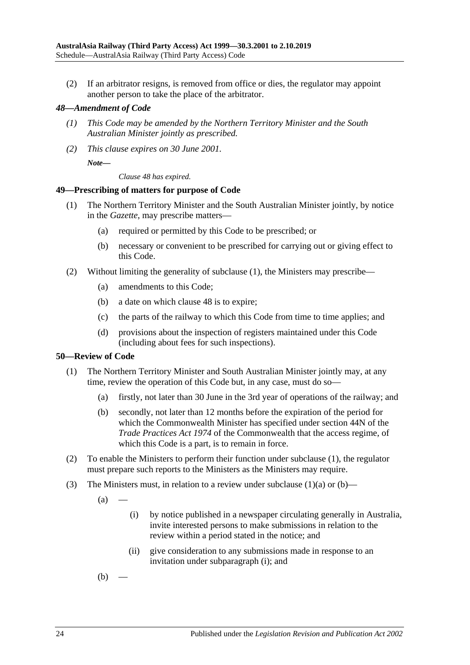(2) If an arbitrator resigns, is removed from office or dies, the regulator may appoint another person to take the place of the arbitrator.

#### *48—Amendment of Code*

- *(1) This Code may be amended by the Northern Territory Minister and the South Australian Minister jointly as prescribed.*
- *(2) This clause expires on 30 June 2001.*

*Note—*

*Clause 48 has expired.*

#### **49—Prescribing of matters for purpose of Code**

- (1) The Northern Territory Minister and the South Australian Minister jointly, by notice in the *Gazette*, may prescribe matters—
	- (a) required or permitted by this Code to be prescribed; or
	- (b) necessary or convenient to be prescribed for carrying out or giving effect to this Code.
- (2) Without limiting the generality of subclause (1), the Ministers may prescribe—
	- (a) amendments to this Code;
	- (b) a date on which clause 48 is to expire;
	- (c) the parts of the railway to which this Code from time to time applies; and
	- (d) provisions about the inspection of registers maintained under this Code (including about fees for such inspections).

#### **50—Review of Code**

- (1) The Northern Territory Minister and South Australian Minister jointly may, at any time, review the operation of this Code but, in any case, must do so—
	- (a) firstly, not later than 30 June in the 3rd year of operations of the railway; and
	- (b) secondly, not later than 12 months before the expiration of the period for which the Commonwealth Minister has specified under section 44N of the *Trade Practices Act 1974* of the Commonwealth that the access regime, of which this Code is a part, is to remain in force.
- (2) To enable the Ministers to perform their function under subclause (1), the regulator must prepare such reports to the Ministers as the Ministers may require.
- (3) The Ministers must, in relation to a review under subclause  $(1)(a)$  or  $(b)$ —

 $(a)$ 

- (i) by notice published in a newspaper circulating generally in Australia, invite interested persons to make submissions in relation to the review within a period stated in the notice; and
- (ii) give consideration to any submissions made in response to an invitation under subparagraph (i); and

 $(b)$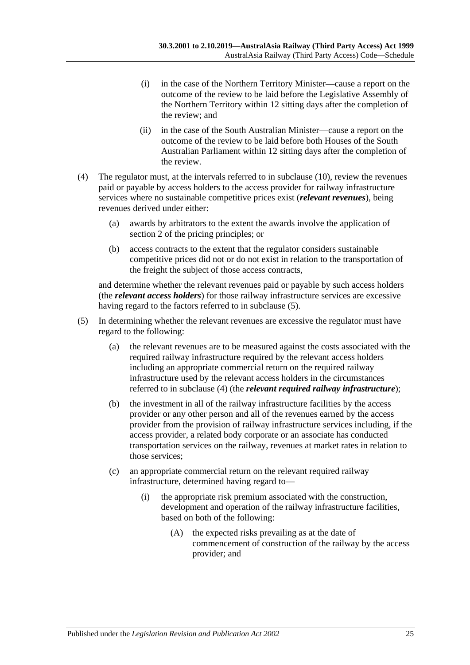- (i) in the case of the Northern Territory Minister—cause a report on the outcome of the review to be laid before the Legislative Assembly of the Northern Territory within 12 sitting days after the completion of the review; and
- (ii) in the case of the South Australian Minister—cause a report on the outcome of the review to be laid before both Houses of the South Australian Parliament within 12 sitting days after the completion of the review.
- (4) The regulator must, at the intervals referred to in subclause (10), review the revenues paid or payable by access holders to the access provider for railway infrastructure services where no sustainable competitive prices exist (*relevant revenues*), being revenues derived under either:
	- (a) awards by arbitrators to the extent the awards involve the application of section 2 of the pricing principles; or
	- (b) access contracts to the extent that the regulator considers sustainable competitive prices did not or do not exist in relation to the transportation of the freight the subject of those access contracts,

and determine whether the relevant revenues paid or payable by such access holders (the *relevant access holders*) for those railway infrastructure services are excessive having regard to the factors referred to in subclause (5).

- (5) In determining whether the relevant revenues are excessive the regulator must have regard to the following:
	- (a) the relevant revenues are to be measured against the costs associated with the required railway infrastructure required by the relevant access holders including an appropriate commercial return on the required railway infrastructure used by the relevant access holders in the circumstances referred to in subclause (4) (the *relevant required railway infrastructure*);
	- (b) the investment in all of the railway infrastructure facilities by the access provider or any other person and all of the revenues earned by the access provider from the provision of railway infrastructure services including, if the access provider, a related body corporate or an associate has conducted transportation services on the railway, revenues at market rates in relation to those services;
	- (c) an appropriate commercial return on the relevant required railway infrastructure, determined having regard to—
		- (i) the appropriate risk premium associated with the construction, development and operation of the railway infrastructure facilities, based on both of the following:
			- (A) the expected risks prevailing as at the date of commencement of construction of the railway by the access provider; and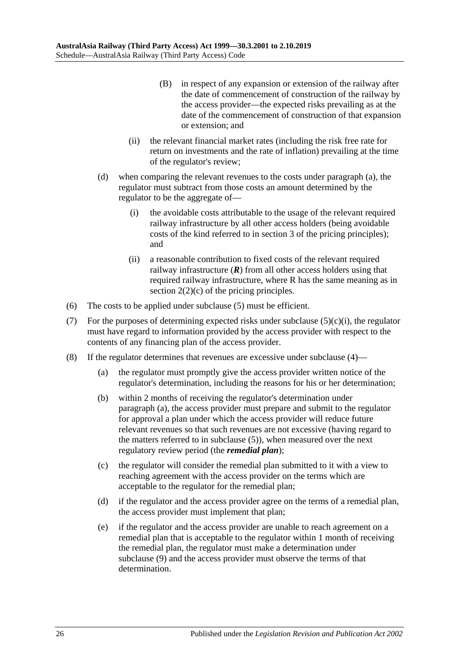- (B) in respect of any expansion or extension of the railway after the date of commencement of construction of the railway by the access provider—the expected risks prevailing as at the date of the commencement of construction of that expansion or extension; and
- (ii) the relevant financial market rates (including the risk free rate for return on investments and the rate of inflation) prevailing at the time of the regulator's review;
- (d) when comparing the relevant revenues to the costs under paragraph (a), the regulator must subtract from those costs an amount determined by the regulator to be the aggregate of—
	- (i) the avoidable costs attributable to the usage of the relevant required railway infrastructure by all other access holders (being avoidable costs of the kind referred to in section 3 of the pricing principles); and
	- (ii) a reasonable contribution to fixed costs of the relevant required railway infrastructure  $(R)$  from all other access holders using that required railway infrastructure, where R has the same meaning as in section  $2(2)(c)$  of the pricing principles.
- (6) The costs to be applied under subclause (5) must be efficient.
- (7) For the purposes of determining expected risks under subclause  $(5)(c)(i)$ , the regulator must have regard to information provided by the access provider with respect to the contents of any financing plan of the access provider.
- (8) If the regulator determines that revenues are excessive under subclause (4)—
	- (a) the regulator must promptly give the access provider written notice of the regulator's determination, including the reasons for his or her determination;
	- (b) within 2 months of receiving the regulator's determination under paragraph (a), the access provider must prepare and submit to the regulator for approval a plan under which the access provider will reduce future relevant revenues so that such revenues are not excessive (having regard to the matters referred to in subclause (5)), when measured over the next regulatory review period (the *remedial plan*);
	- (c) the regulator will consider the remedial plan submitted to it with a view to reaching agreement with the access provider on the terms which are acceptable to the regulator for the remedial plan;
	- (d) if the regulator and the access provider agree on the terms of a remedial plan, the access provider must implement that plan;
	- (e) if the regulator and the access provider are unable to reach agreement on a remedial plan that is acceptable to the regulator within 1 month of receiving the remedial plan, the regulator must make a determination under subclause (9) and the access provider must observe the terms of that determination.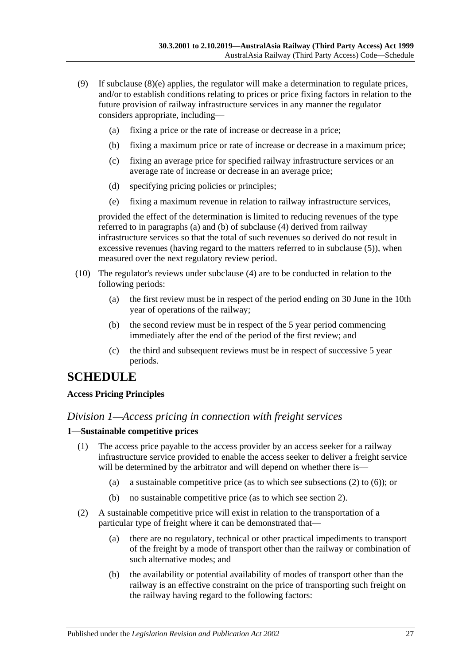- (9) If subclause (8)(e) applies, the regulator will make a determination to regulate prices, and/or to establish conditions relating to prices or price fixing factors in relation to the future provision of railway infrastructure services in any manner the regulator considers appropriate, including—
	- (a) fixing a price or the rate of increase or decrease in a price;
	- (b) fixing a maximum price or rate of increase or decrease in a maximum price;
	- (c) fixing an average price for specified railway infrastructure services or an average rate of increase or decrease in an average price;
	- (d) specifying pricing policies or principles;
	- (e) fixing a maximum revenue in relation to railway infrastructure services,

provided the effect of the determination is limited to reducing revenues of the type referred to in paragraphs (a) and (b) of subclause (4) derived from railway infrastructure services so that the total of such revenues so derived do not result in excessive revenues (having regard to the matters referred to in subclause (5)), when measured over the next regulatory review period.

- (10) The regulator's reviews under subclause (4) are to be conducted in relation to the following periods:
	- (a) the first review must be in respect of the period ending on 30 June in the 10th year of operations of the railway;
	- (b) the second review must be in respect of the 5 year period commencing immediately after the end of the period of the first review; and
	- (c) the third and subsequent reviews must be in respect of successive 5 year periods.

# **SCHEDULE**

## **Access Pricing Principles**

## *Division 1—Access pricing in connection with freight services*

## **1—Sustainable competitive prices**

- (1) The access price payable to the access provider by an access seeker for a railway infrastructure service provided to enable the access seeker to deliver a freight service will be determined by the arbitrator and will depend on whether there is—
	- (a) a sustainable competitive price (as to which see subsections (2) to (6)); or
	- (b) no sustainable competitive price (as to which see section 2).
- (2) A sustainable competitive price will exist in relation to the transportation of a particular type of freight where it can be demonstrated that—
	- (a) there are no regulatory, technical or other practical impediments to transport of the freight by a mode of transport other than the railway or combination of such alternative modes; and
	- (b) the availability or potential availability of modes of transport other than the railway is an effective constraint on the price of transporting such freight on the railway having regard to the following factors: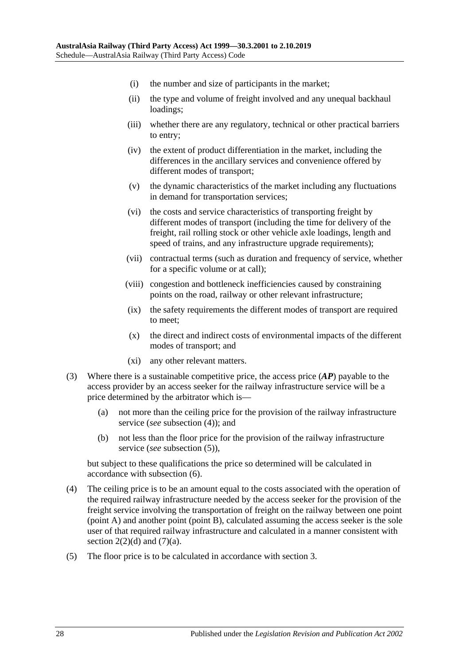- (i) the number and size of participants in the market;
- (ii) the type and volume of freight involved and any unequal backhaul loadings;
- (iii) whether there are any regulatory, technical or other practical barriers to entry;
- (iv) the extent of product differentiation in the market, including the differences in the ancillary services and convenience offered by different modes of transport;
- (v) the dynamic characteristics of the market including any fluctuations in demand for transportation services;
- (vi) the costs and service characteristics of transporting freight by different modes of transport (including the time for delivery of the freight, rail rolling stock or other vehicle axle loadings, length and speed of trains, and any infrastructure upgrade requirements);
- (vii) contractual terms (such as duration and frequency of service, whether for a specific volume or at call);
- (viii) congestion and bottleneck inefficiencies caused by constraining points on the road, railway or other relevant infrastructure;
- (ix) the safety requirements the different modes of transport are required to meet;
- (x) the direct and indirect costs of environmental impacts of the different modes of transport; and
- (xi) any other relevant matters.
- (3) Where there is a sustainable competitive price, the access price (*AP*) payable to the access provider by an access seeker for the railway infrastructure service will be a price determined by the arbitrator which is—
	- (a) not more than the ceiling price for the provision of the railway infrastructure service (*see* subsection (4)); and
	- (b) not less than the floor price for the provision of the railway infrastructure service (*see* subsection (5)),

but subject to these qualifications the price so determined will be calculated in accordance with subsection (6).

- (4) The ceiling price is to be an amount equal to the costs associated with the operation of the required railway infrastructure needed by the access seeker for the provision of the freight service involving the transportation of freight on the railway between one point (point A) and another point (point B), calculated assuming the access seeker is the sole user of that required railway infrastructure and calculated in a manner consistent with section  $2(2)(d)$  and  $(7)(a)$ .
- (5) The floor price is to be calculated in accordance with section 3.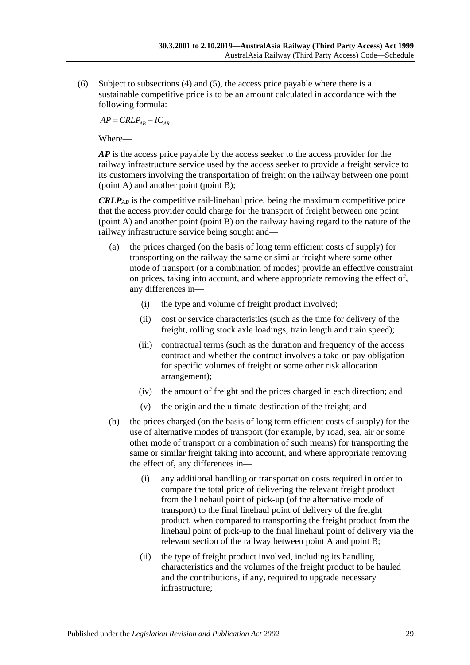(6) Subject to subsections (4) and (5), the access price payable where there is a sustainable competitive price is to be an amount calculated in accordance with the following formula:

 $AP = CRLP_{AB} - IC_{AR}$ 

Where—

*AP* is the access price payable by the access seeker to the access provider for the railway infrastructure service used by the access seeker to provide a freight service to its customers involving the transportation of freight on the railway between one point (point A) and another point (point B);

*CRLPAB* is the competitive rail-linehaul price, being the maximum competitive price that the access provider could charge for the transport of freight between one point (point A) and another point (point B) on the railway having regard to the nature of the railway infrastructure service being sought and—

- (a) the prices charged (on the basis of long term efficient costs of supply) for transporting on the railway the same or similar freight where some other mode of transport (or a combination of modes) provide an effective constraint on prices, taking into account, and where appropriate removing the effect of, any differences in—
	- (i) the type and volume of freight product involved;
	- (ii) cost or service characteristics (such as the time for delivery of the freight, rolling stock axle loadings, train length and train speed);
	- (iii) contractual terms (such as the duration and frequency of the access contract and whether the contract involves a take-or-pay obligation for specific volumes of freight or some other risk allocation arrangement);
	- (iv) the amount of freight and the prices charged in each direction; and
	- (v) the origin and the ultimate destination of the freight; and
- (b) the prices charged (on the basis of long term efficient costs of supply) for the use of alternative modes of transport (for example, by road, sea, air or some other mode of transport or a combination of such means) for transporting the same or similar freight taking into account, and where appropriate removing the effect of, any differences in—
	- (i) any additional handling or transportation costs required in order to compare the total price of delivering the relevant freight product from the linehaul point of pick-up (of the alternative mode of transport) to the final linehaul point of delivery of the freight product, when compared to transporting the freight product from the linehaul point of pick-up to the final linehaul point of delivery via the relevant section of the railway between point A and point B;
	- (ii) the type of freight product involved, including its handling characteristics and the volumes of the freight product to be hauled and the contributions, if any, required to upgrade necessary infrastructure;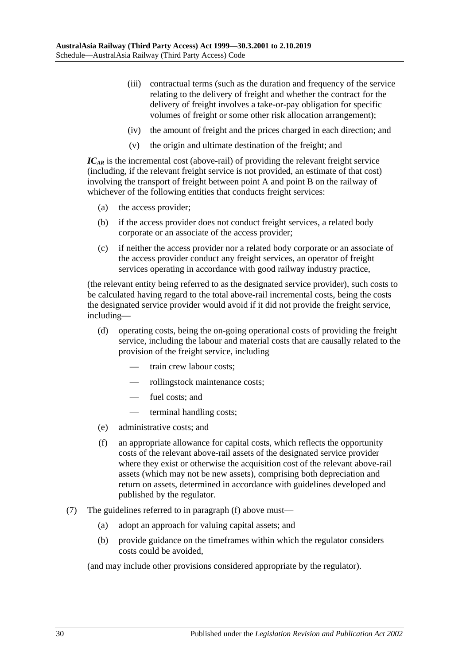- (iii) contractual terms (such as the duration and frequency of the service relating to the delivery of freight and whether the contract for the delivery of freight involves a take-or-pay obligation for specific volumes of freight or some other risk allocation arrangement);
- (iv) the amount of freight and the prices charged in each direction; and
- (v) the origin and ultimate destination of the freight; and

*ICAR* is the incremental cost (above-rail) of providing the relevant freight service (including, if the relevant freight service is not provided, an estimate of that cost) involving the transport of freight between point A and point B on the railway of whichever of the following entities that conducts freight services:

- (a) the access provider;
- (b) if the access provider does not conduct freight services, a related body corporate or an associate of the access provider;
- (c) if neither the access provider nor a related body corporate or an associate of the access provider conduct any freight services, an operator of freight services operating in accordance with good railway industry practice,

(the relevant entity being referred to as the designated service provider), such costs to be calculated having regard to the total above-rail incremental costs, being the costs the designated service provider would avoid if it did not provide the freight service, including—

- (d) operating costs, being the on-going operational costs of providing the freight service, including the labour and material costs that are causally related to the provision of the freight service, including
	- train crew labour costs;
	- rollingstock maintenance costs;
	- fuel costs; and
	- terminal handling costs;
- (e) administrative costs; and
- (f) an appropriate allowance for capital costs, which reflects the opportunity costs of the relevant above-rail assets of the designated service provider where they exist or otherwise the acquisition cost of the relevant above-rail assets (which may not be new assets), comprising both depreciation and return on assets, determined in accordance with guidelines developed and published by the regulator.
- (7) The guidelines referred to in paragraph (f) above must—
	- (a) adopt an approach for valuing capital assets; and
	- (b) provide guidance on the timeframes within which the regulator considers costs could be avoided,

(and may include other provisions considered appropriate by the regulator).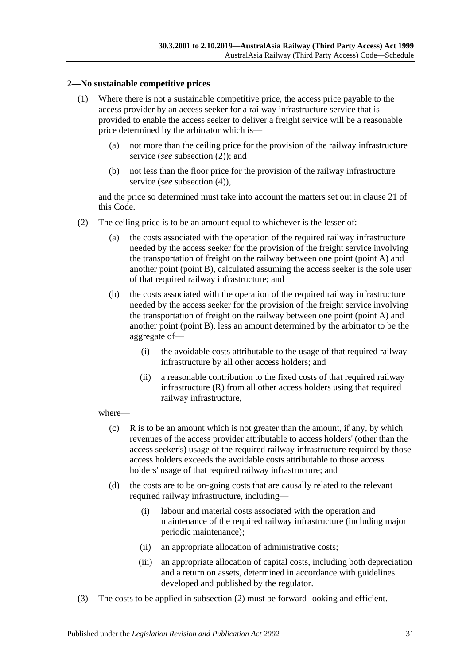#### **2—No sustainable competitive prices**

- (1) Where there is not a sustainable competitive price, the access price payable to the access provider by an access seeker for a railway infrastructure service that is provided to enable the access seeker to deliver a freight service will be a reasonable price determined by the arbitrator which is—
	- (a) not more than the ceiling price for the provision of the railway infrastructure service (*see* subsection (2)); and
	- (b) not less than the floor price for the provision of the railway infrastructure service (*see* subsection (4)),

and the price so determined must take into account the matters set out in clause 21 of this Code.

- (2) The ceiling price is to be an amount equal to whichever is the lesser of:
	- (a) the costs associated with the operation of the required railway infrastructure needed by the access seeker for the provision of the freight service involving the transportation of freight on the railway between one point (point A) and another point (point B), calculated assuming the access seeker is the sole user of that required railway infrastructure; and
	- (b) the costs associated with the operation of the required railway infrastructure needed by the access seeker for the provision of the freight service involving the transportation of freight on the railway between one point (point A) and another point (point B), less an amount determined by the arbitrator to be the aggregate of—
		- (i) the avoidable costs attributable to the usage of that required railway infrastructure by all other access holders; and
		- (ii) a reasonable contribution to the fixed costs of that required railway infrastructure (R) from all other access holders using that required railway infrastructure,

#### where—

- (c) R is to be an amount which is not greater than the amount, if any, by which revenues of the access provider attributable to access holders' (other than the access seeker's) usage of the required railway infrastructure required by those access holders exceeds the avoidable costs attributable to those access holders' usage of that required railway infrastructure; and
- (d) the costs are to be on-going costs that are causally related to the relevant required railway infrastructure, including—
	- (i) labour and material costs associated with the operation and maintenance of the required railway infrastructure (including major periodic maintenance);
	- (ii) an appropriate allocation of administrative costs;
	- (iii) an appropriate allocation of capital costs, including both depreciation and a return on assets, determined in accordance with guidelines developed and published by the regulator.
- (3) The costs to be applied in subsection (2) must be forward-looking and efficient.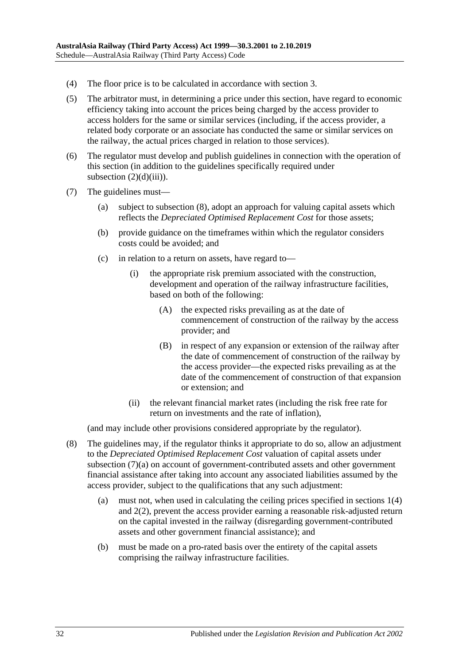- (4) The floor price is to be calculated in accordance with section 3.
- (5) The arbitrator must, in determining a price under this section, have regard to economic efficiency taking into account the prices being charged by the access provider to access holders for the same or similar services (including, if the access provider, a related body corporate or an associate has conducted the same or similar services on the railway, the actual prices charged in relation to those services).
- (6) The regulator must develop and publish guidelines in connection with the operation of this section (in addition to the guidelines specifically required under subsection  $(2)(d)(iii)$ ).
- (7) The guidelines must—
	- (a) subject to subsection (8), adopt an approach for valuing capital assets which reflects the *Depreciated Optimised Replacement Cost* for those assets;
	- (b) provide guidance on the timeframes within which the regulator considers costs could be avoided; and
	- (c) in relation to a return on assets, have regard to—
		- (i) the appropriate risk premium associated with the construction, development and operation of the railway infrastructure facilities, based on both of the following:
			- (A) the expected risks prevailing as at the date of commencement of construction of the railway by the access provider; and
			- (B) in respect of any expansion or extension of the railway after the date of commencement of construction of the railway by the access provider—the expected risks prevailing as at the date of the commencement of construction of that expansion or extension; and
		- (ii) the relevant financial market rates (including the risk free rate for return on investments and the rate of inflation),

(and may include other provisions considered appropriate by the regulator).

- (8) The guidelines may, if the regulator thinks it appropriate to do so, allow an adjustment to the *Depreciated Optimised Replacement Cost* valuation of capital assets under subsection (7)(a) on account of government-contributed assets and other government financial assistance after taking into account any associated liabilities assumed by the access provider, subject to the qualifications that any such adjustment:
	- (a) must not, when used in calculating the ceiling prices specified in sections 1(4) and 2(2), prevent the access provider earning a reasonable risk-adjusted return on the capital invested in the railway (disregarding government-contributed assets and other government financial assistance); and
	- (b) must be made on a pro-rated basis over the entirety of the capital assets comprising the railway infrastructure facilities.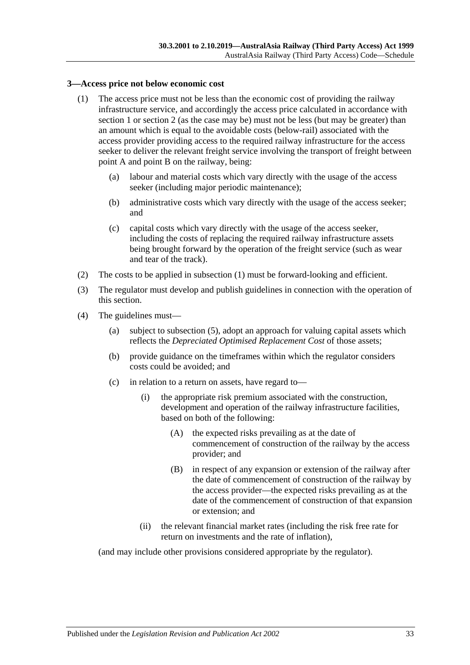#### **3—Access price not below economic cost**

- (1) The access price must not be less than the economic cost of providing the railway infrastructure service, and accordingly the access price calculated in accordance with section 1 or section 2 (as the case may be) must not be less (but may be greater) than an amount which is equal to the avoidable costs (below-rail) associated with the access provider providing access to the required railway infrastructure for the access seeker to deliver the relevant freight service involving the transport of freight between point A and point B on the railway, being:
	- (a) labour and material costs which vary directly with the usage of the access seeker (including major periodic maintenance);
	- (b) administrative costs which vary directly with the usage of the access seeker; and
	- (c) capital costs which vary directly with the usage of the access seeker, including the costs of replacing the required railway infrastructure assets being brought forward by the operation of the freight service (such as wear and tear of the track).
- (2) The costs to be applied in subsection (1) must be forward-looking and efficient.
- (3) The regulator must develop and publish guidelines in connection with the operation of this section.
- (4) The guidelines must—
	- (a) subject to subsection (5), adopt an approach for valuing capital assets which reflects the *Depreciated Optimised Replacement Cost* of those assets;
	- (b) provide guidance on the timeframes within which the regulator considers costs could be avoided; and
	- (c) in relation to a return on assets, have regard to—
		- (i) the appropriate risk premium associated with the construction, development and operation of the railway infrastructure facilities, based on both of the following:
			- (A) the expected risks prevailing as at the date of commencement of construction of the railway by the access provider; and
			- (B) in respect of any expansion or extension of the railway after the date of commencement of construction of the railway by the access provider—the expected risks prevailing as at the date of the commencement of construction of that expansion or extension; and
		- (ii) the relevant financial market rates (including the risk free rate for return on investments and the rate of inflation),

(and may include other provisions considered appropriate by the regulator).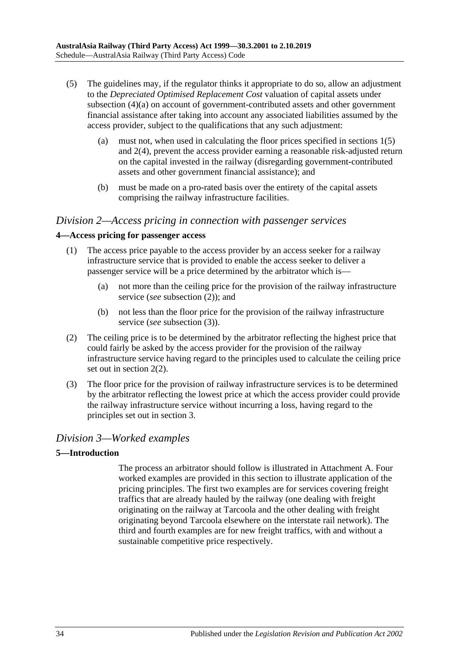- (5) The guidelines may, if the regulator thinks it appropriate to do so, allow an adjustment to the *Depreciated Optimised Replacement Cost* valuation of capital assets under subsection (4)(a) on account of government-contributed assets and other government financial assistance after taking into account any associated liabilities assumed by the access provider, subject to the qualifications that any such adjustment:
	- (a) must not, when used in calculating the floor prices specified in sections 1(5) and 2(4), prevent the access provider earning a reasonable risk-adjusted return on the capital invested in the railway (disregarding government-contributed assets and other government financial assistance); and
	- (b) must be made on a pro-rated basis over the entirety of the capital assets comprising the railway infrastructure facilities.

## *Division 2—Access pricing in connection with passenger services*

## **4—Access pricing for passenger access**

- (1) The access price payable to the access provider by an access seeker for a railway infrastructure service that is provided to enable the access seeker to deliver a passenger service will be a price determined by the arbitrator which is—
	- (a) not more than the ceiling price for the provision of the railway infrastructure service (*see* subsection (2)); and
	- (b) not less than the floor price for the provision of the railway infrastructure service (*see* subsection (3)).
- (2) The ceiling price is to be determined by the arbitrator reflecting the highest price that could fairly be asked by the access provider for the provision of the railway infrastructure service having regard to the principles used to calculate the ceiling price set out in section 2(2).
- (3) The floor price for the provision of railway infrastructure services is to be determined by the arbitrator reflecting the lowest price at which the access provider could provide the railway infrastructure service without incurring a loss, having regard to the principles set out in section 3.

# *Division 3—Worked examples*

## **5—Introduction**

The process an arbitrator should follow is illustrated in Attachment A. Four worked examples are provided in this section to illustrate application of the pricing principles. The first two examples are for services covering freight traffics that are already hauled by the railway (one dealing with freight originating on the railway at Tarcoola and the other dealing with freight originating beyond Tarcoola elsewhere on the interstate rail network). The third and fourth examples are for new freight traffics, with and without a sustainable competitive price respectively.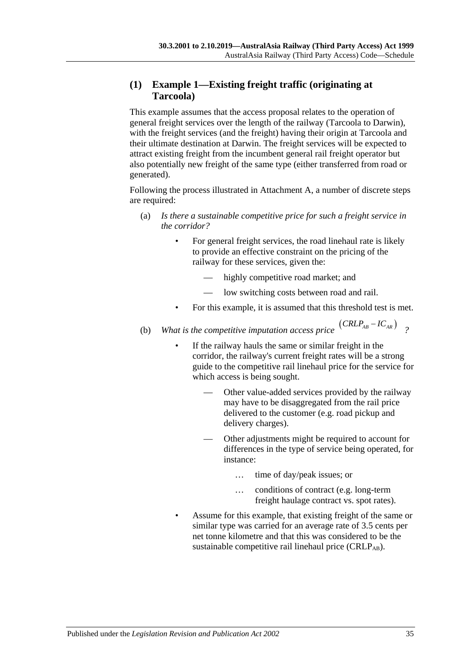# **(1) Example 1—Existing freight traffic (originating at Tarcoola)**

This example assumes that the access proposal relates to the operation of general freight services over the length of the railway (Tarcoola to Darwin), with the freight services (and the freight) having their origin at Tarcoola and their ultimate destination at Darwin. The freight services will be expected to attract existing freight from the incumbent general rail freight operator but also potentially new freight of the same type (either transferred from road or generated).

Following the process illustrated in Attachment A, a number of discrete steps are required:

- (a) *Is there a sustainable competitive price for such a freight service in the corridor?*
	- For general freight services, the road linehaul rate is likely to provide an effective constraint on the pricing of the railway for these services, given the:
		- highly competitive road market; and
		- low switching costs between road and rail.
	- For this example, it is assumed that this threshold test is met.
- (b) *What is the competitive imputation access price*  $(CRLP_{AB} IC_{AR})$  <sup>2</sup>
	- If the railway hauls the same or similar freight in the corridor, the railway's current freight rates will be a strong guide to the competitive rail linehaul price for the service for which access is being sought.
		- Other value-added services provided by the railway may have to be disaggregated from the rail price delivered to the customer (e.g. road pickup and delivery charges).
		- Other adjustments might be required to account for differences in the type of service being operated, for instance:
			- … time of day/peak issues; or
			- … conditions of contract (e.g. long-term freight haulage contract vs. spot rates).
	- Assume for this example, that existing freight of the same or similar type was carried for an average rate of 3.5 cents per net tonne kilometre and that this was considered to be the sustainable competitive rail linehaul price  $(CRLP_{AB})$ .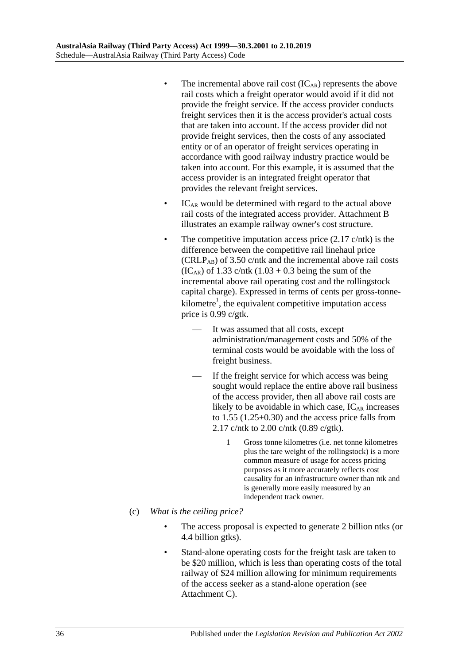- The incremental above rail cost  $(IC_{AR})$  represents the above rail costs which a freight operator would avoid if it did not provide the freight service. If the access provider conducts freight services then it is the access provider's actual costs that are taken into account. If the access provider did not provide freight services, then the costs of any associated entity or of an operator of freight services operating in accordance with good railway industry practice would be taken into account. For this example, it is assumed that the access provider is an integrated freight operator that provides the relevant freight services.
- $IC<sub>AR</sub>$  would be determined with regard to the actual above rail costs of the integrated access provider. Attachment B illustrates an example railway owner's cost structure.
- The competitive imputation access price  $(2.17 \text{ c/ntk})$  is the difference between the competitive rail linehaul price (CRLPAB) of 3.50 c/ntk and the incremental above rail costs  $(IC_{AR})$  of 1.33 c/ntk  $(1.03 + 0.3)$  being the sum of the incremental above rail operating cost and the rollingstock capital charge). Expressed in terms of cents per gross-tonnekilometre<sup>1</sup>, the equivalent competitive imputation access price is 0.99 c/gtk.
	- It was assumed that all costs, except administration/management costs and 50% of the terminal costs would be avoidable with the loss of freight business.
	- If the freight service for which access was being sought would replace the entire above rail business of the access provider, then all above rail costs are likely to be avoidable in which case,  $IC_{AR}$  increases to 1.55 (1.25+0.30) and the access price falls from 2.17 c/ntk to 2.00 c/ntk (0.89 c/gtk).
		- 1 Gross tonne kilometres (i.e. net tonne kilometres plus the tare weight of the rollingstock) is a more common measure of usage for access pricing purposes as it more accurately reflects cost causality for an infrastructure owner than ntk and is generally more easily measured by an independent track owner.
- (c) *What is the ceiling price?*
	- The access proposal is expected to generate 2 billion ntks (or 4.4 billion gtks).
	- Stand-alone operating costs for the freight task are taken to be \$20 million, which is less than operating costs of the total railway of \$24 million allowing for minimum requirements of the access seeker as a stand-alone operation (see Attachment C).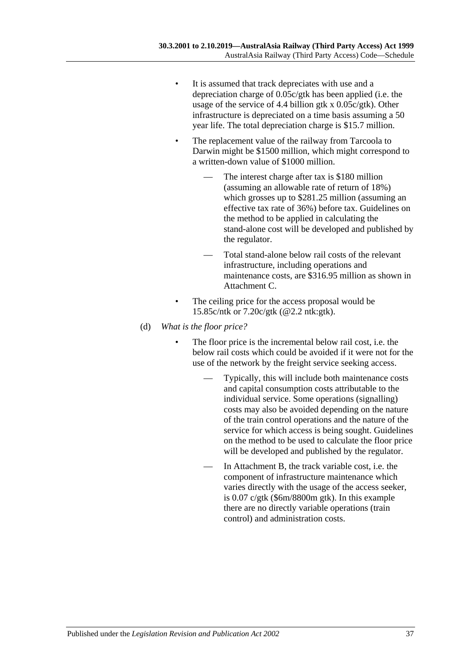- It is assumed that track depreciates with use and a depreciation charge of 0.05c/gtk has been applied (i.e. the usage of the service of 4.4 billion gtk x 0.05c/gtk). Other infrastructure is depreciated on a time basis assuming a 50 year life. The total depreciation charge is \$15.7 million.
- The replacement value of the railway from Tarcoola to Darwin might be \$1500 million, which might correspond to a written-down value of \$1000 million.
	- The interest charge after tax is \$180 million (assuming an allowable rate of return of 18%) which grosses up to \$281.25 million (assuming an effective tax rate of 36%) before tax. Guidelines on the method to be applied in calculating the stand-alone cost will be developed and published by the regulator.
	- Total stand-alone below rail costs of the relevant infrastructure, including operations and maintenance costs, are \$316.95 million as shown in Attachment C.
- The ceiling price for the access proposal would be 15.85c/ntk or 7.20c/gtk (@2.2 ntk:gtk).
- (d) *What is the floor price?*
	- The floor price is the incremental below rail cost, i.e. the below rail costs which could be avoided if it were not for the use of the network by the freight service seeking access.
		- Typically, this will include both maintenance costs and capital consumption costs attributable to the individual service. Some operations (signalling) costs may also be avoided depending on the nature of the train control operations and the nature of the service for which access is being sought. Guidelines on the method to be used to calculate the floor price will be developed and published by the regulator.
		- In Attachment B, the track variable cost, i.e. the component of infrastructure maintenance which varies directly with the usage of the access seeker, is 0.07 c/gtk (\$6m/8800m gtk). In this example there are no directly variable operations (train control) and administration costs.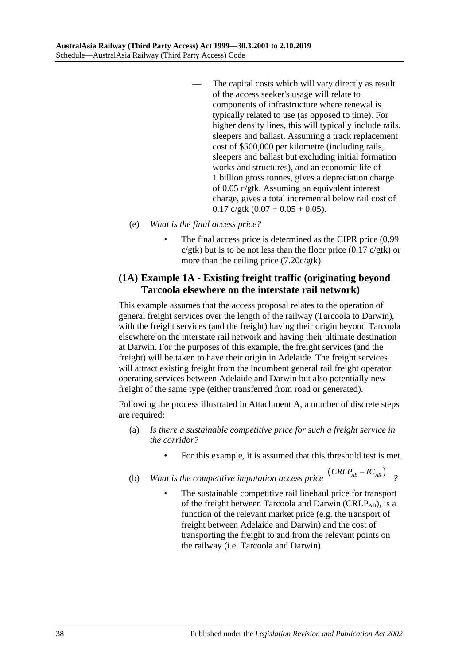- The capital costs which will vary directly as result of the access seeker's usage will relate to components of infrastructure where renewal is typically related to use (as opposed to time). For higher density lines, this will typically include rails, sleepers and ballast. Assuming a track replacement cost of \$500,000 per kilometre (including rails, sleepers and ballast but excluding initial formation works and structures), and an economic life of 1 billion gross tonnes, gives a depreciation charge of 0.05 c/gtk. Assuming an equivalent interest charge, gives a total incremental below rail cost of  $0.17$  c/gtk  $(0.07 + 0.05 + 0.05)$ .
- (e) *What is the final access price?*
	- The final access price is determined as the CIPR price  $(0.99)$  $c/g$ tk) but is to be not less than the floor price (0.17  $c/g$ tk) or more than the ceiling price (7.20c/gtk).

## **(1A) Example 1A - Existing freight traffic (originating beyond Tarcoola elsewhere on the interstate rail network)**

This example assumes that the access proposal relates to the operation of general freight services over the length of the railway (Tarcoola to Darwin), with the freight services (and the freight) having their origin beyond Tarcoola elsewhere on the interstate rail network and having their ultimate destination at Darwin. For the purposes of this example, the freight services (and the freight) will be taken to have their origin in Adelaide. The freight services will attract existing freight from the incumbent general rail freight operator operating services between Adelaide and Darwin but also potentially new freight of the same type (either transferred from road or generated).

Following the process illustrated in Attachment A, a number of discrete steps are required:

- (a) *Is there a sustainable competitive price for such a freight service in the corridor?*
	- For this example, it is assumed that this threshold test is met.
- (b) *What is the competitive imputation access price*  $(CRLP_{AB} IC_{AR})$  <sup>?</sup>
	- The sustainable competitive rail linehaul price for transport of the freight between Tarcoola and Darwin ( $CRLP_{AB}$ ), is a function of the relevant market price (e.g. the transport of freight between Adelaide and Darwin) and the cost of transporting the freight to and from the relevant points on the railway (i.e. Tarcoola and Darwin).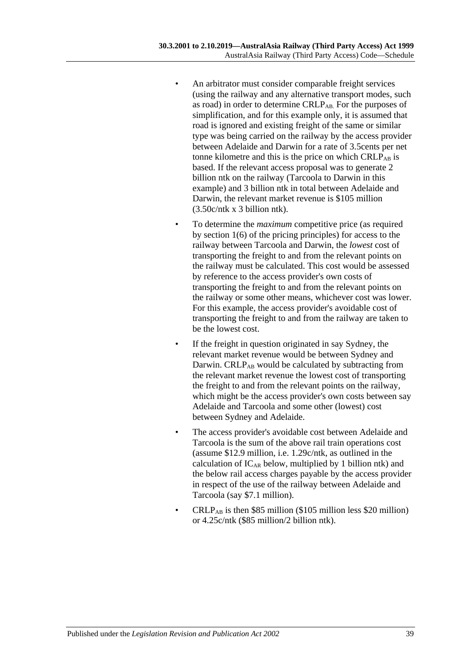- An arbitrator must consider comparable freight services (using the railway and any alternative transport modes, such as road) in order to determine CRLP<sub>AB</sub>. For the purposes of simplification, and for this example only, it is assumed that road is ignored and existing freight of the same or similar type was being carried on the railway by the access provider between Adelaide and Darwin for a rate of 3.5cents per net tonne kilometre and this is the price on which  $CRLP_{AB}$  is based. If the relevant access proposal was to generate 2 billion ntk on the railway (Tarcoola to Darwin in this example) and 3 billion ntk in total between Adelaide and Darwin, the relevant market revenue is \$105 million (3.50c/ntk x 3 billion ntk).
- To determine the *maximum* competitive price (as required by section 1(6) of the pricing principles) for access to the railway between Tarcoola and Darwin, the *lowest* cost of transporting the freight to and from the relevant points on the railway must be calculated. This cost would be assessed by reference to the access provider's own costs of transporting the freight to and from the relevant points on the railway or some other means, whichever cost was lower. For this example, the access provider's avoidable cost of transporting the freight to and from the railway are taken to be the lowest cost.
- If the freight in question originated in say Sydney, the relevant market revenue would be between Sydney and Darwin. CRLP<sub>AB</sub> would be calculated by subtracting from the relevant market revenue the lowest cost of transporting the freight to and from the relevant points on the railway, which might be the access provider's own costs between say Adelaide and Tarcoola and some other (lowest) cost between Sydney and Adelaide.
- The access provider's avoidable cost between Adelaide and Tarcoola is the sum of the above rail train operations cost (assume \$12.9 million, i.e. 1.29c/ntk, as outlined in the calculation of  $IC_{AR}$  below, multiplied by 1 billion ntk) and the below rail access charges payable by the access provider in respect of the use of the railway between Adelaide and Tarcoola (say \$7.1 million).
- $CRLP_{AB}$  is then \$85 million (\$105 million less \$20 million) or 4.25c/ntk (\$85 million/2 billion ntk).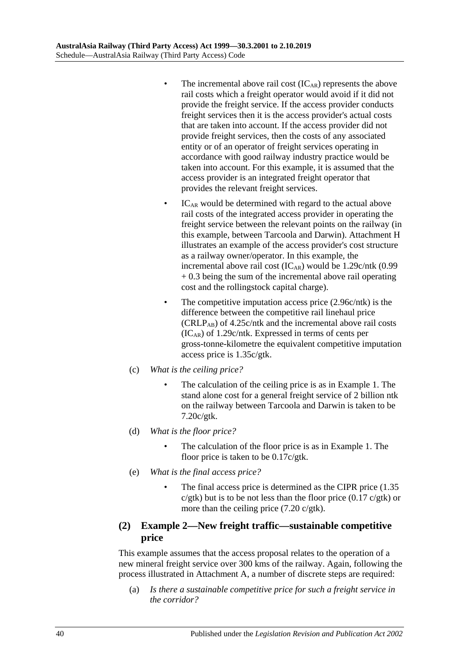- The incremental above rail cost  $(IC_{AR})$  represents the above rail costs which a freight operator would avoid if it did not provide the freight service. If the access provider conducts freight services then it is the access provider's actual costs that are taken into account. If the access provider did not provide freight services, then the costs of any associated entity or of an operator of freight services operating in accordance with good railway industry practice would be taken into account. For this example, it is assumed that the access provider is an integrated freight operator that provides the relevant freight services.
- $IC<sub>AR</sub>$  would be determined with regard to the actual above rail costs of the integrated access provider in operating the freight service between the relevant points on the railway (in this example, between Tarcoola and Darwin). Attachment H illustrates an example of the access provider's cost structure as a railway owner/operator. In this example, the incremental above rail cost  $(IC_{AR})$  would be 1.29c/ntk  $(0.99)$ + 0.3 being the sum of the incremental above rail operating cost and the rollingstock capital charge).
- The competitive imputation access price (2.96c/ntk) is the difference between the competitive rail linehaul price  $(CRLP_{AB})$  of 4.25 $c$ /ntk and the incremental above rail costs  $(IC_{AR})$  of 1.29c/ntk. Expressed in terms of cents per gross-tonne-kilometre the equivalent competitive imputation access price is 1.35c/gtk.
- (c) *What is the ceiling price?*
	- The calculation of the ceiling price is as in Example 1. The stand alone cost for a general freight service of 2 billion ntk on the railway between Tarcoola and Darwin is taken to be 7.20c/gtk.
- (d) *What is the floor price?*
	- The calculation of the floor price is as in Example 1. The floor price is taken to be 0.17c/gtk.
- (e) *What is the final access price?*
	- The final access price is determined as the CIPR price  $(1.35)$  $c/g$ tk) but is to be not less than the floor price  $(0.17 \text{ } c/g$ tk) or more than the ceiling price (7.20 c/gtk).

## **(2) Example 2—New freight traffic—sustainable competitive price**

This example assumes that the access proposal relates to the operation of a new mineral freight service over 300 kms of the railway. Again, following the process illustrated in Attachment A, a number of discrete steps are required:

(a) *Is there a sustainable competitive price for such a freight service in the corridor?*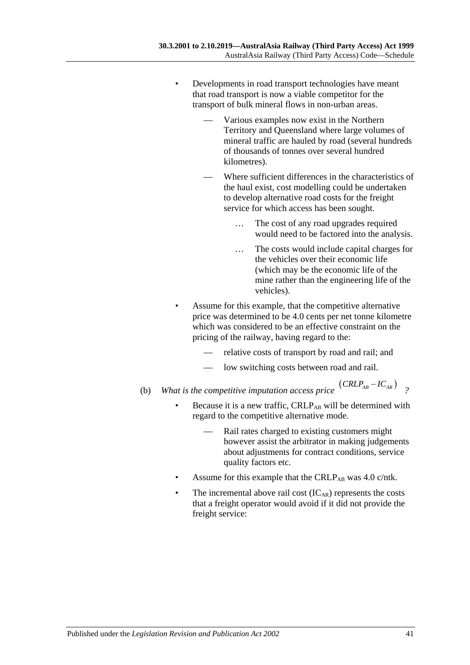- Developments in road transport technologies have meant that road transport is now a viable competitor for the transport of bulk mineral flows in non-urban areas.
	- Various examples now exist in the Northern Territory and Queensland where large volumes of mineral traffic are hauled by road (several hundreds of thousands of tonnes over several hundred kilometres).
	- Where sufficient differences in the characteristics of the haul exist, cost modelling could be undertaken to develop alternative road costs for the freight service for which access has been sought.
		- … The cost of any road upgrades required would need to be factored into the analysis.
		- … The costs would include capital charges for the vehicles over their economic life (which may be the economic life of the mine rather than the engineering life of the vehicles).
- Assume for this example, that the competitive alternative price was determined to be 4.0 cents per net tonne kilometre which was considered to be an effective constraint on the pricing of the railway, having regard to the:
	- relative costs of transport by road and rail; and
	- low switching costs between road and rail.
- (b) *What is the competitive imputation access price*  $(CRLP_{AB} IC_{AR})$  <sup>?</sup>
	- Because it is a new traffic, CRLPAB will be determined with regard to the competitive alternative mode.
		- Rail rates charged to existing customers might however assist the arbitrator in making judgements about adjustments for contract conditions, service quality factors etc.
	- Assume for this example that the CRLP<sub>AB</sub> was  $4.0 \text{ c/ntk}$ .
	- The incremental above rail cost  $(IC_{AR})$  represents the costs that a freight operator would avoid if it did not provide the freight service: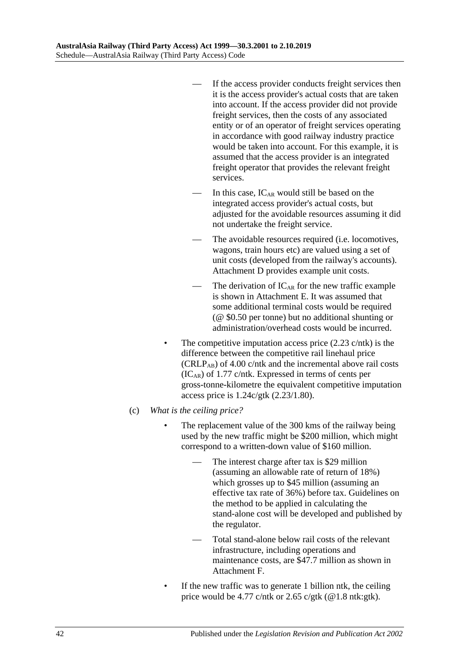- If the access provider conducts freight services then it is the access provider's actual costs that are taken into account. If the access provider did not provide freight services, then the costs of any associated entity or of an operator of freight services operating in accordance with good railway industry practice would be taken into account. For this example, it is assumed that the access provider is an integrated freight operator that provides the relevant freight services.
- In this case,  $IC_{AR}$  would still be based on the integrated access provider's actual costs, but adjusted for the avoidable resources assuming it did not undertake the freight service.
- The avoidable resources required (*i.e.* locomotives, wagons, train hours etc) are valued using a set of unit costs (developed from the railway's accounts). Attachment D provides example unit costs.
- The derivation of  $IC_{AR}$  for the new traffic example is shown in Attachment E. It was assumed that some additional terminal costs would be required (@ \$0.50 per tonne) but no additional shunting or administration/overhead costs would be incurred.
- The competitive imputation access price  $(2.23 \text{ c/ntk})$  is the difference between the competitive rail linehaul price  $(CRLP_{AB})$  of 4.00 c/ntk and the incremental above rail costs  $(IC_{AR})$  of 1.77 c/ntk. Expressed in terms of cents per gross-tonne-kilometre the equivalent competitive imputation access price is 1.24c/gtk (2.23/1.80).
- (c) *What is the ceiling price?*
	- The replacement value of the 300 kms of the railway being used by the new traffic might be \$200 million, which might correspond to a written-down value of \$160 million.
		- The interest charge after tax is \$29 million (assuming an allowable rate of return of 18%) which grosses up to \$45 million (assuming an effective tax rate of 36%) before tax. Guidelines on the method to be applied in calculating the stand-alone cost will be developed and published by the regulator.
		- Total stand-alone below rail costs of the relevant infrastructure, including operations and maintenance costs, are \$47.7 million as shown in Attachment F.
	- If the new traffic was to generate 1 billion ntk, the ceiling price would be 4.77 c/ntk or 2.65 c/gtk ( $@1.8$  ntk:gtk).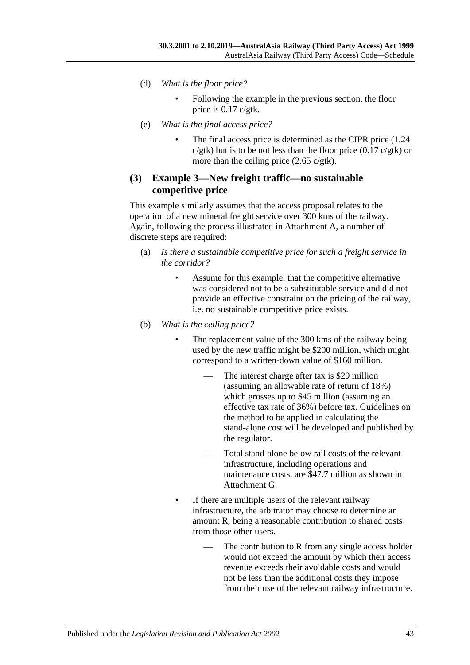- (d) *What is the floor price?*
	- Following the example in the previous section, the floor price is 0.17 c/gtk.
- (e) *What is the final access price?*
	- The final access price is determined as the CIPR price  $(1.24)$  $c/g$ tk) but is to be not less than the floor price  $(0.17 \, c/g$ tk) or more than the ceiling price (2.65 c/gtk).

## **(3) Example 3—New freight traffic—no sustainable competitive price**

This example similarly assumes that the access proposal relates to the operation of a new mineral freight service over 300 kms of the railway. Again, following the process illustrated in Attachment A, a number of discrete steps are required:

- (a) *Is there a sustainable competitive price for such a freight service in the corridor?*
	- Assume for this example, that the competitive alternative was considered not to be a substitutable service and did not provide an effective constraint on the pricing of the railway, i.e. no sustainable competitive price exists.
- (b) *What is the ceiling price?*
	- The replacement value of the 300 kms of the railway being used by the new traffic might be \$200 million, which might correspond to a written-down value of \$160 million.
		- The interest charge after tax is \$29 million (assuming an allowable rate of return of 18%) which grosses up to \$45 million (assuming an effective tax rate of 36%) before tax. Guidelines on the method to be applied in calculating the stand-alone cost will be developed and published by the regulator.
		- Total stand-alone below rail costs of the relevant infrastructure, including operations and maintenance costs, are \$47.7 million as shown in Attachment G.
	- If there are multiple users of the relevant railway infrastructure, the arbitrator may choose to determine an amount R, being a reasonable contribution to shared costs from those other users.
		- The contribution to R from any single access holder would not exceed the amount by which their access revenue exceeds their avoidable costs and would not be less than the additional costs they impose from their use of the relevant railway infrastructure.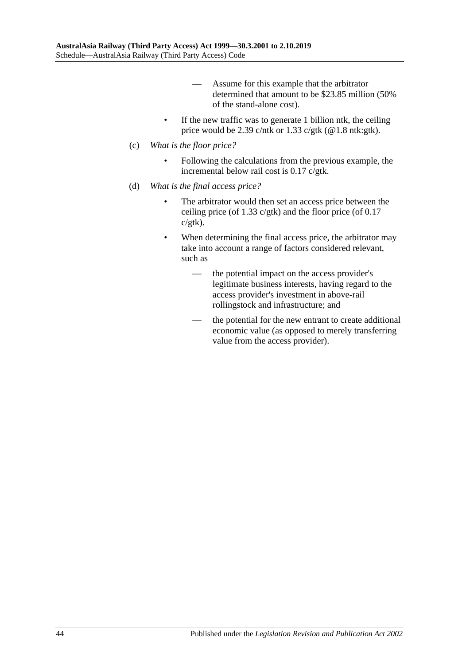- Assume for this example that the arbitrator determined that amount to be \$23.85 million (50% of the stand-alone cost).
- If the new traffic was to generate 1 billion ntk, the ceiling price would be 2.39 c/ntk or 1.33 c/gtk ( $@1.8$  ntk:gtk).
- (c) *What is the floor price?*
	- Following the calculations from the previous example, the incremental below rail cost is 0.17 c/gtk.
- (d) *What is the final access price?*
	- The arbitrator would then set an access price between the ceiling price (of 1.33  $c$ /gtk) and the floor price (of 0.17 c/gtk).
	- When determining the final access price, the arbitrator may take into account a range of factors considered relevant, such as
		- the potential impact on the access provider's legitimate business interests, having regard to the access provider's investment in above-rail rollingstock and infrastructure; and
		- the potential for the new entrant to create additional economic value (as opposed to merely transferring value from the access provider).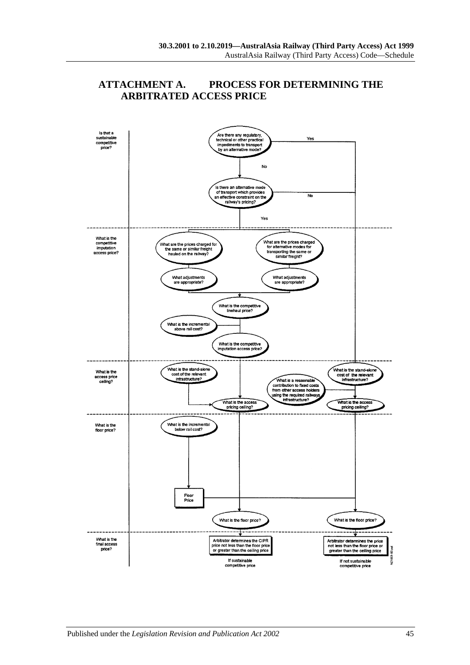

## **ATTACHMENT A. PROCESS FOR DETERMINING THE ARBITRATED ACCESS PRICE**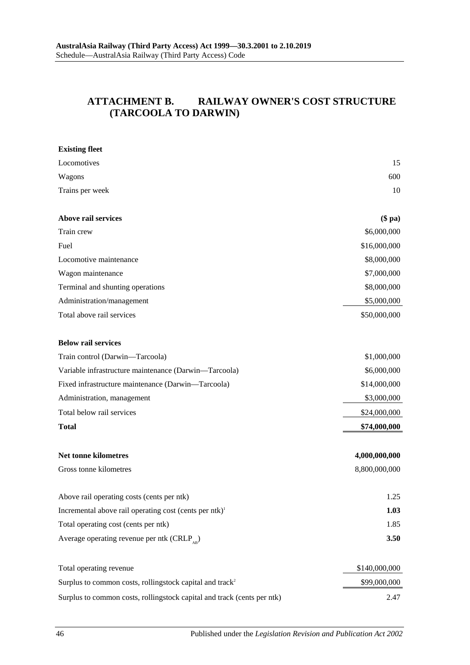# **ATTACHMENT B. RAILWAY OWNER'S COST STRUCTURE (TARCOOLA TO DARWIN)**

| <b>Existing fleet</b>                                                   |               |
|-------------------------------------------------------------------------|---------------|
| Locomotives                                                             | 15            |
| Wagons                                                                  | 600           |
| Trains per week                                                         | 10            |
| Above rail services                                                     | $(\$$ pa $)$  |
| Train crew                                                              | \$6,000,000   |
| Fuel                                                                    | \$16,000,000  |
| Locomotive maintenance                                                  | \$8,000,000   |
| Wagon maintenance                                                       | \$7,000,000   |
| Terminal and shunting operations                                        | \$8,000,000   |
| Administration/management                                               | \$5,000,000   |
| Total above rail services                                               | \$50,000,000  |
| <b>Below rail services</b>                                              |               |
| Train control (Darwin-Tarcoola)                                         | \$1,000,000   |
| Variable infrastructure maintenance (Darwin-Tarcoola)                   | \$6,000,000   |
| Fixed infrastructure maintenance (Darwin-Tarcoola)                      | \$14,000,000  |
| Administration, management                                              | \$3,000,000   |
| Total below rail services                                               | \$24,000,000  |
| <b>Total</b>                                                            | \$74,000,000  |
| Net tonne kilometres                                                    | 4,000,000,000 |
| Gross tonne kilometres                                                  | 8,800,000,000 |
| Above rail operating costs (cents per ntk)                              | 1.25          |
| Incremental above rail operating cost (cents per ntk) <sup>1</sup>      | 1.03          |
| Total operating cost (cents per ntk)                                    | 1.85          |
| Average operating revenue per ntk (CRLP <sub>sp</sub> )                 | 3.50          |
| Total operating revenue                                                 | \$140,000,000 |
| Surplus to common costs, rollingstock capital and track <sup>2</sup>    | \$99,000,000  |
| Surplus to common costs, rollingstock capital and track (cents per ntk) | 2.47          |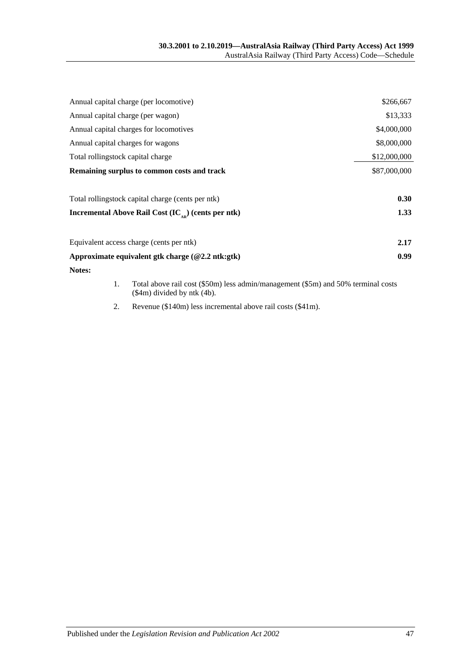| Annual capital charge (per locomotive)                          | \$266,667    |
|-----------------------------------------------------------------|--------------|
| Annual capital charge (per wagon)                               | \$13,333     |
| Annual capital charges for locomotives                          | \$4,000,000  |
| Annual capital charges for wagons                               | \$8,000,000  |
| Total rollingstock capital charge                               | \$12,000,000 |
| Remaining surplus to common costs and track                     | \$87,000,000 |
| Total rollingstock capital charge (cents per ntk)               | 0.30         |
| Incremental Above Rail Cost (IC <sub>AD</sub> ) (cents per ntk) | 1.33         |
| Equivalent access charge (cents per ntk)                        | 2.17         |
| Approximate equivalent gtk charge $(\textcircled{2.2 ntk:gtk})$ | 0.99         |
| Notes:                                                          |              |

- 1. Total above rail cost (\$50m) less admin/management (\$5m) and 50% terminal costs (\$4m) divided by ntk (4b).
- 2. Revenue (\$140m) less incremental above rail costs (\$41m).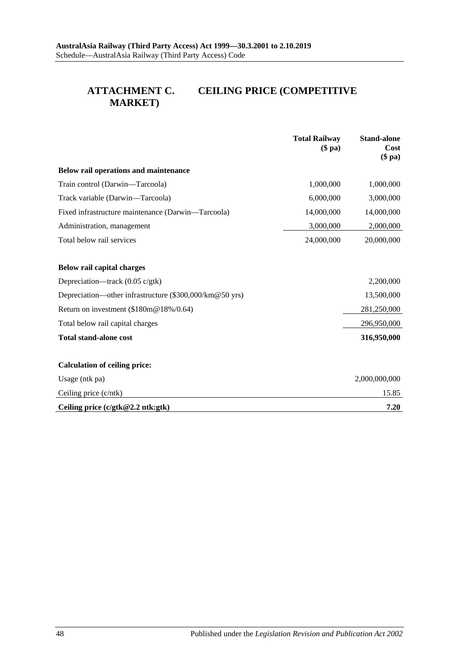# **ATTACHMENT C. CEILING PRICE (COMPETITIVE MARKET)**

|                                                         | <b>Total Railway</b><br>$(\$$ pa $)$ | <b>Stand-alone</b><br>Cost<br>$(\$$ pa $)$ |
|---------------------------------------------------------|--------------------------------------|--------------------------------------------|
| Below rail operations and maintenance                   |                                      |                                            |
| Train control (Darwin-Tarcoola)                         | 1,000,000                            | 1,000,000                                  |
| Track variable (Darwin—Tarcoola)                        | 6,000,000                            | 3,000,000                                  |
| Fixed infrastructure maintenance (Darwin-Tarcoola)      | 14,000,000                           | 14,000,000                                 |
| Administration, management                              | 3,000,000                            | 2,000,000                                  |
| Total below rail services                               | 24,000,000                           | 20,000,000                                 |
| <b>Below rail capital charges</b>                       |                                      |                                            |
| Depreciation—track $(0.05 \text{ c/gtk})$               |                                      | 2,200,000                                  |
| Depreciation—other infrastructure (\$300,000/km@50 yrs) |                                      | 13,500,000                                 |
| Return on investment (\$180m@18%/0.64)                  |                                      | 281,250,000                                |
| Total below rail capital charges                        |                                      | 296,950,000                                |
| <b>Total stand-alone cost</b>                           |                                      | 316,950,000                                |
| <b>Calculation of ceiling price:</b>                    |                                      |                                            |
| Usage (ntk pa)                                          |                                      | 2,000,000,000                              |
| Ceiling price (c/ntk)                                   |                                      | 15.85                                      |
| Ceiling price $(c/gtk@2.2$ ntk:gtk)                     |                                      | 7.20                                       |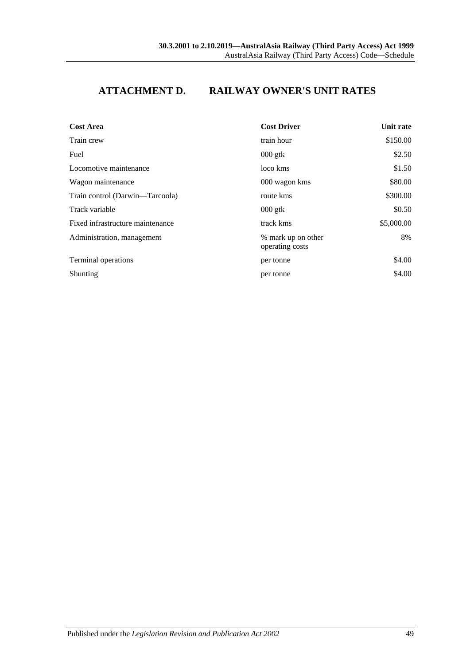# **ATTACHMENT D. RAILWAY OWNER'S UNIT RATES**

| <b>Cost Area</b>                 | <b>Cost Driver</b>                    | Unit rate  |
|----------------------------------|---------------------------------------|------------|
| Train crew                       | train hour                            | \$150.00   |
| Fuel                             | $000$ gtk                             | \$2.50     |
| Locomotive maintenance           | loco kms                              | \$1.50     |
| Wagon maintenance                | 000 wagon kms                         | \$80.00    |
| Train control (Darwin-Tarcoola)  | route kms                             | \$300.00   |
| Track variable                   | $000$ gtk                             | \$0.50     |
| Fixed infrastructure maintenance | track kms                             | \$5,000.00 |
| Administration, management       | % mark up on other<br>operating costs | 8%         |
| Terminal operations              | per tonne                             | \$4.00     |
| Shunting                         | per tonne                             | \$4.00     |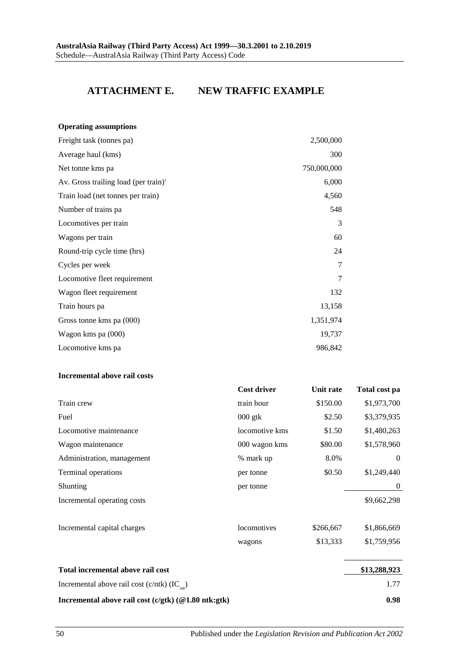# **ATTACHMENT E. NEW TRAFFIC EXAMPLE**

| <b>Operating assumptions</b>                     |             |
|--------------------------------------------------|-------------|
| Freight task (tonnes pa)                         | 2,500,000   |
| Average haul (kms)                               | 300         |
| Net tonne kms pa                                 | 750,000,000 |
| Av. Gross trailing load (per train) <sup>1</sup> | 6,000       |
| Train load (net tonnes per train)                | 4,560       |
| Number of trains pa                              | 548         |
| Locomotives per train                            | 3           |
| Wagons per train                                 | 60          |
| Round-trip cycle time (hrs)                      | 24          |
| Cycles per week                                  | 7           |
| Locomotive fleet requirement                     | 7           |
| Wagon fleet requirement                          | 132         |
| Train hours pa                                   | 13,158      |
| Gross tonne kms pa (000)                         | 1,351,974   |
| Wagon kms pa (000)                               | 19,737      |
| Locomotive kms pa                                | 986,842     |

#### **Incremental above rail costs**

|                                                      | <b>Cost driver</b> | Unit rate | Total cost pa    |
|------------------------------------------------------|--------------------|-----------|------------------|
| Train crew                                           | train hour         | \$150.00  | \$1,973,700      |
| Fuel                                                 | $000$ gtk          | \$2.50    | \$3,379,935      |
| Locomotive maintenance                               | locomotive kms     | \$1.50    | \$1,480,263      |
| Wagon maintenance                                    | 000 wagon kms      | \$80.00   | \$1,578,960      |
| Administration, management                           | % mark up          | 8.0%      | $\theta$         |
| <b>Terminal operations</b>                           | per tonne          | \$0.50    | \$1,249,440      |
| Shunting                                             | per tonne          |           | $\boldsymbol{0}$ |
| Incremental operating costs                          |                    |           | \$9,662,298      |
| Incremental capital charges                          | locomotives        | \$266,667 | \$1,866,669      |
|                                                      | wagons             | \$13,333  | \$1,759,956      |
| Total incremental above rail cost                    |                    |           | \$13,288,923     |
| Incremental above rail cost (c/ntk) $(IC_{\alpha}$ ) |                    |           | 1.77             |
| Incremental above rail cost (c/gtk) (@1.80 ntk:gtk)  |                    |           | 0.98             |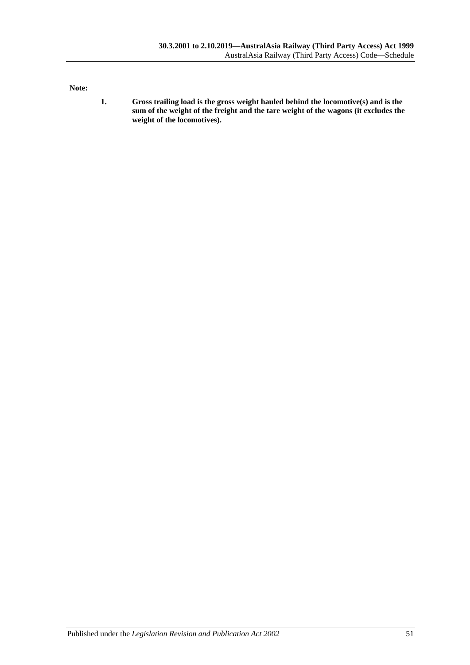**Note:**

**1. Gross trailing load is the gross weight hauled behind the locomotive(s) and is the sum of the weight of the freight and the tare weight of the wagons (it excludes the weight of the locomotives).**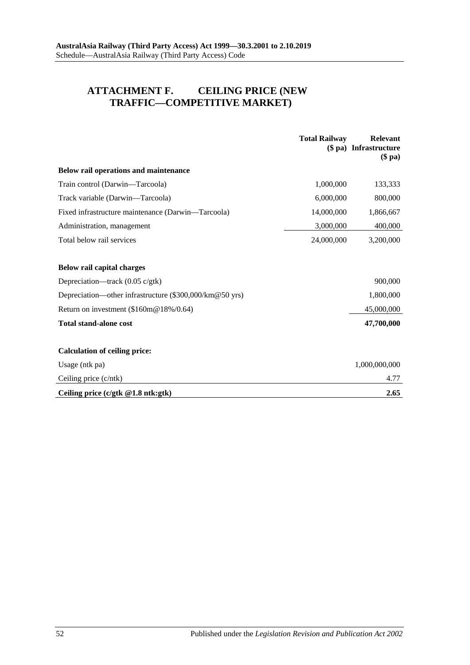# **ATTACHMENT F. CEILING PRICE (NEW TRAFFIC—COMPETITIVE MARKET)**

|                                                         | <b>Total Railway</b> | <b>Relevant</b><br>(\$ pa) Infrastructure<br>$(\$$ pa $)$ |
|---------------------------------------------------------|----------------------|-----------------------------------------------------------|
| Below rail operations and maintenance                   |                      |                                                           |
| Train control (Darwin-Tarcoola)                         | 1,000,000            | 133,333                                                   |
| Track variable (Darwin—Tarcoola)                        | 6,000,000            | 800,000                                                   |
| Fixed infrastructure maintenance (Darwin—Tarcoola)      | 14,000,000           | 1,866,667                                                 |
| Administration, management                              | 3,000,000            | 400,000                                                   |
| Total below rail services                               | 24,000,000           | 3,200,000                                                 |
|                                                         |                      |                                                           |
| Below rail capital charges                              |                      |                                                           |
| Depreciation—track (0.05 c/gtk)                         |                      | 900,000                                                   |
| Depreciation—other infrastructure (\$300,000/km@50 yrs) |                      | 1,800,000                                                 |
| Return on investment (\$160m@18%/0.64)                  |                      | 45,000,000                                                |
| <b>Total stand-alone cost</b>                           |                      | 47,700,000                                                |
|                                                         |                      |                                                           |
| <b>Calculation of ceiling price:</b>                    |                      |                                                           |
| Usage (ntk pa)                                          |                      | 1,000,000,000                                             |
| Ceiling price $(c/ntk)$                                 |                      | 4.77                                                      |
| Ceiling price $(c/gtk \t@1.8 ntk:gtk)$                  |                      | 2.65                                                      |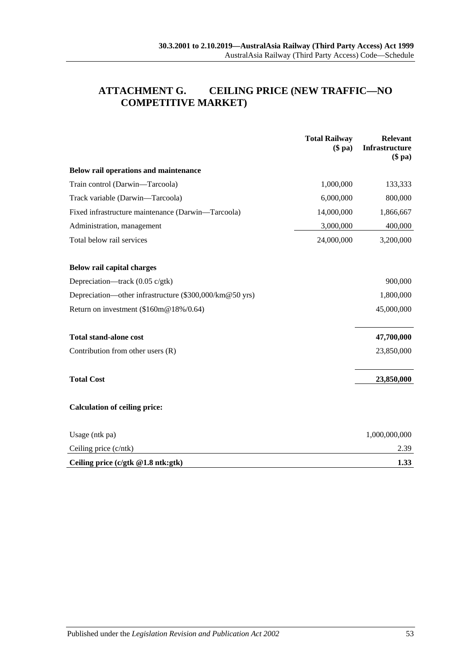# **ATTACHMENT G. CEILING PRICE (NEW TRAFFIC—NO COMPETITIVE MARKET)**

|                                                         | <b>Total Railway</b><br>$(\$$ pa $)$ | Relevant<br>Infrastructure<br>$(\$$ pa $)$ |
|---------------------------------------------------------|--------------------------------------|--------------------------------------------|
| Below rail operations and maintenance                   |                                      |                                            |
| Train control (Darwin-Tarcoola)                         | 1,000,000                            | 133,333                                    |
| Track variable (Darwin-Tarcoola)                        | 6,000,000                            | 800,000                                    |
| Fixed infrastructure maintenance (Darwin-Tarcoola)      | 14,000,000                           | 1,866,667                                  |
| Administration, management                              | 3,000,000                            | 400,000                                    |
| Total below rail services                               | 24,000,000                           | 3,200,000                                  |
| Below rail capital charges                              |                                      |                                            |
| Depreciation—track $(0.05 \text{ c/gtk})$               |                                      | 900,000                                    |
| Depreciation—other infrastructure (\$300,000/km@50 yrs) |                                      | 1,800,000                                  |
| Return on investment (\$160m@18%/0.64)                  |                                      | 45,000,000                                 |
| <b>Total stand-alone cost</b>                           |                                      | 47,700,000                                 |
| Contribution from other users $(R)$                     |                                      | 23,850,000                                 |
| <b>Total Cost</b>                                       |                                      | 23,850,000                                 |
| <b>Calculation of ceiling price:</b>                    |                                      |                                            |
| Usage (ntk pa)                                          |                                      | 1,000,000,000                              |
| Ceiling price (c/ntk)                                   |                                      | 2.39                                       |
| Ceiling price $(c/gtk \t@1.8 ntk:gtk)$                  |                                      | 1.33                                       |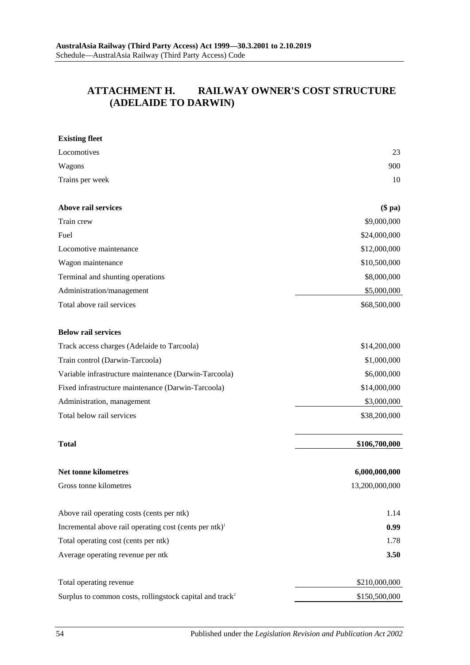# **ATTACHMENT H. RAILWAY OWNER'S COST STRUCTURE (ADELAIDE TO DARWIN)**

| <b>Existing fleet</b>                                                |                |
|----------------------------------------------------------------------|----------------|
| Locomotives                                                          | 23             |
| Wagons                                                               | 900            |
| Trains per week                                                      | 10             |
| Above rail services                                                  | $$$ pa $)$     |
| Train crew                                                           | \$9,000,000    |
| Fuel                                                                 | \$24,000,000   |
| Locomotive maintenance                                               | \$12,000,000   |
| Wagon maintenance                                                    | \$10,500,000   |
| Terminal and shunting operations                                     | \$8,000,000    |
| Administration/management                                            | \$5,000,000    |
| Total above rail services                                            | \$68,500,000   |
| <b>Below rail services</b>                                           |                |
| Track access charges (Adelaide to Tarcoola)                          | \$14,200,000   |
| Train control (Darwin-Tarcoola)                                      | \$1,000,000    |
| Variable infrastructure maintenance (Darwin-Tarcoola)                | \$6,000,000    |
| Fixed infrastructure maintenance (Darwin-Tarcoola)                   | \$14,000,000   |
| Administration, management                                           | \$3,000,000    |
| Total below rail services                                            | \$38,200,000   |
| <b>Total</b>                                                         | \$106,700,000  |
| <b>Net tonne kilometres</b>                                          | 6,000,000,000  |
| Gross tonne kilometres                                               | 13,200,000,000 |
| Above rail operating costs (cents per ntk)                           | 1.14           |
| Incremental above rail operating cost (cents per ntk) <sup>1</sup>   | 0.99           |
| Total operating cost (cents per ntk)                                 | 1.78           |
| Average operating revenue per ntk                                    | 3.50           |
| Total operating revenue                                              | \$210,000,000  |
| Surplus to common costs, rollingstock capital and track <sup>2</sup> | \$150,500,000  |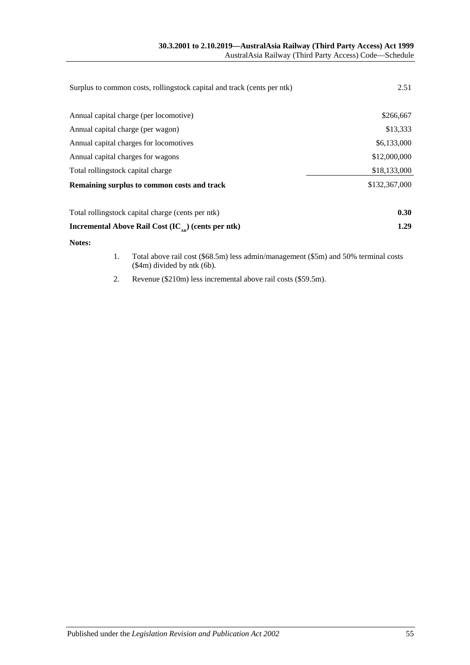| Surplus to common costs, rollingstock capital and track (cents per ntk) | 2.51          |
|-------------------------------------------------------------------------|---------------|
| Annual capital charge (per locomotive)                                  | \$266,667     |
| Annual capital charge (per wagon)                                       | \$13,333      |
| Annual capital charges for locomotives                                  | \$6,133,000   |
| Annual capital charges for wagons                                       | \$12,000,000  |
| Total rollingstock capital charge                                       | \$18,133,000  |
| Remaining surplus to common costs and track                             | \$132,367,000 |
| Total rollingstock capital charge (cents per ntk)                       | 0.30          |
| Incremental Above Rail Cost $(IC_{\alpha}^{\dagger})$ (cents per ntk)   | 1.29          |
| Notes:                                                                  |               |

- 1. Total above rail cost (\$68.5m) less admin/management (\$5m) and 50% terminal costs (\$4m) divided by ntk (6b).
- 2. Revenue (\$210m) less incremental above rail costs (\$59.5m).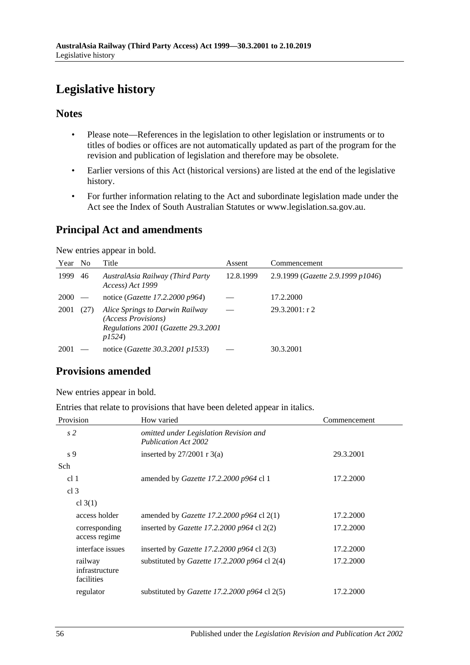# <span id="page-55-0"></span>**Legislative history**

# **Notes**

- Please note—References in the legislation to other legislation or instruments or to titles of bodies or offices are not automatically updated as part of the program for the revision and publication of legislation and therefore may be obsolete.
- Earlier versions of this Act (historical versions) are listed at the end of the legislative history.
- For further information relating to the Act and subordinate legislation made under the Act see the Index of South Australian Statutes or www.legislation.sa.gov.au.

# **Principal Act and amendments**

New entries appear in bold.

| Year No |      | Title                                                                                                  | Assent    | Commencement                      |
|---------|------|--------------------------------------------------------------------------------------------------------|-----------|-----------------------------------|
| 1999    | 46   | AustralAsia Railway (Third Party<br>Access) Act 1999                                                   | 12.8.1999 | 2.9.1999 (Gazette 2.9.1999 p1046) |
| 2000    |      | notice ( <i>Gazette 17.2.2000 p964</i> )                                                               |           | 17.2.2000                         |
| 2001    | (27) | Alice Springs to Darwin Railway<br>(Access Provisions)<br>Regulations 2001 (Gazette 29.3.2001<br>p1524 |           | 29.3.2001: r2                     |
| 2001    |      | notice ( <i>Gazette 30.3.2001 p1533</i> )                                                              |           | 30.3.2001                         |

# **Provisions amended**

New entries appear in bold.

Entries that relate to provisions that have been deleted appear in italics.

| Provision                               | How varied                                                            | Commencement |
|-----------------------------------------|-----------------------------------------------------------------------|--------------|
| s <sub>2</sub>                          | omitted under Legislation Revision and<br><b>Publication Act 2002</b> |              |
| s 9                                     | inserted by $27/2001$ r 3(a)                                          | 29.3.2001    |
| Sch                                     |                                                                       |              |
| cl <sub>1</sub>                         | amended by <i>Gazette 17.2.2000 p964</i> cl 1                         | 17.2.2000    |
| cl <sub>3</sub>                         |                                                                       |              |
| cl $3(1)$                               |                                                                       |              |
| access holder                           | amended by <i>Gazette 17.2.2000 p964</i> cl $2(1)$                    | 17.2.2000    |
| corresponding<br>access regime          | inserted by Gazette 17.2.2000 $p964$ cl 2(2)                          | 17.2.2000    |
| interface issues                        | inserted by Gazette 17.2.2000 $p964$ cl 2(3)                          | 17.2.2000    |
| railway<br>infrastructure<br>facilities | substituted by Gazette 17.2.2000 p964 cl 2(4)                         | 17.2.2000    |
| regulator                               | substituted by Gazette 17.2.2000 p964 cl $2(5)$                       | 17.2.2000    |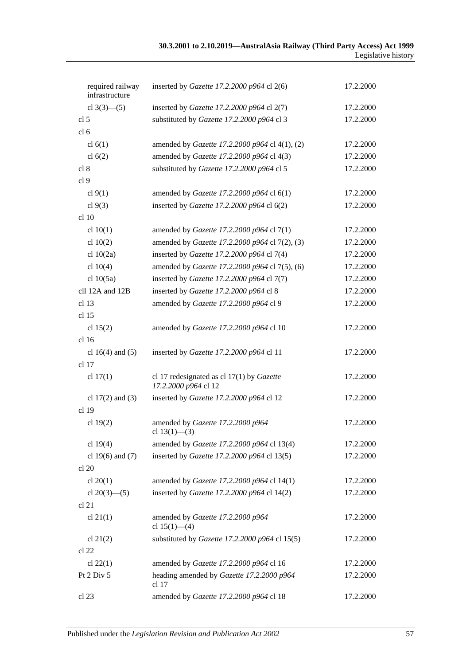## **30.3.2001 to 2.10.2019—AustralAsia Railway (Third Party Access) Act 1999** Legislative history

| required railway<br>infrastructure | inserted by Gazette 17.2.2000 p964 cl 2(6)                          | 17.2.2000 |
|------------------------------------|---------------------------------------------------------------------|-----------|
| cl $3(3)$ - (5)                    | inserted by Gazette 17.2.2000 p964 cl 2(7)                          | 17.2.2000 |
| cl <sub>5</sub>                    | substituted by Gazette 17.2.2000 p964 cl 3                          | 17.2.2000 |
| cl <sub>6</sub>                    |                                                                     |           |
| cl $6(1)$                          | amended by <i>Gazette 17.2.2000 p964</i> cl 4(1), (2)               | 17.2.2000 |
| cl $6(2)$                          | amended by Gazette 17.2.2000 p964 cl 4(3)                           | 17.2.2000 |
| cl 8                               | substituted by Gazette 17.2.2000 p964 cl 5                          | 17.2.2000 |
| cl <sub>9</sub>                    |                                                                     |           |
| cl $9(1)$                          | amended by Gazette 17.2.2000 p964 cl 6(1)                           | 17.2.2000 |
| cl $9(3)$                          | inserted by Gazette 17.2.2000 p964 cl 6(2)                          | 17.2.2000 |
| cl 10                              |                                                                     |           |
| cl $10(1)$                         | amended by Gazette 17.2.2000 p964 cl 7(1)                           | 17.2.2000 |
| cl $10(2)$                         | amended by Gazette 17.2.2000 p964 cl 7(2), (3)                      | 17.2.2000 |
| cl $10(2a)$                        | inserted by Gazette 17.2.2000 p964 cl 7(4)                          | 17.2.2000 |
| cl $10(4)$                         | amended by Gazette 17.2.2000 p964 cl 7(5), (6)                      | 17.2.2000 |
| cl $10(5a)$                        | inserted by Gazette 17.2.2000 p964 cl 7(7)                          | 17.2.2000 |
| cll 12A and 12B                    | inserted by Gazette 17.2.2000 p964 cl 8                             | 17.2.2000 |
| cl <sub>13</sub>                   | amended by Gazette 17.2.2000 p964 cl 9                              | 17.2.2000 |
| cl <sub>15</sub>                   |                                                                     |           |
| cl $15(2)$                         | amended by Gazette 17.2.2000 p964 cl 10                             | 17.2.2000 |
| cl <sub>16</sub>                   |                                                                     |           |
| cl $16(4)$ and $(5)$               | inserted by Gazette 17.2.2000 p964 cl 11                            | 17.2.2000 |
| cl <sub>17</sub>                   |                                                                     |           |
| cl $17(1)$                         | cl 17 redesignated as cl $17(1)$ by Gazette<br>17.2.2000 p964 cl 12 | 17.2.2000 |
| cl $17(2)$ and (3)                 | inserted by Gazette 17.2.2000 p964 cl 12                            | 17.2.2000 |
| cl <sub>19</sub>                   |                                                                     |           |
| cl $19(2)$                         | amended by Gazette 17.2.2000 p964<br>cl $13(1)$ - (3)               | 17.2.2000 |
| cl $19(4)$                         | amended by Gazette 17.2.2000 p964 cl 13(4)                          | 17.2.2000 |
| cl 19 $(6)$ and $(7)$              | inserted by Gazette 17.2.2000 p964 cl 13(5)                         | 17.2.2000 |
| cl 20                              |                                                                     |           |
| cl $20(1)$                         | amended by Gazette 17.2.2000 p964 cl 14(1)                          | 17.2.2000 |
| cl $20(3)$ — $(5)$                 | inserted by Gazette 17.2.2000 p964 cl 14(2)                         | 17.2.2000 |
| cl 21                              |                                                                     |           |
| cl $21(1)$                         | amended by Gazette 17.2.2000 p964<br>cl $15(1)$ —(4)                | 17.2.2000 |
| cl $21(2)$                         | substituted by Gazette 17.2.2000 p964 cl 15(5)                      | 17.2.2000 |
| $cl$ 22                            |                                                                     |           |
| cl $22(1)$                         | amended by Gazette 17.2.2000 p964 cl 16                             | 17.2.2000 |
| Pt 2 Div 5                         | heading amended by Gazette 17.2.2000 p964<br>cl <sub>17</sub>       | 17.2.2000 |
| cl 23                              | amended by Gazette 17.2.2000 p964 cl 18                             | 17.2.2000 |